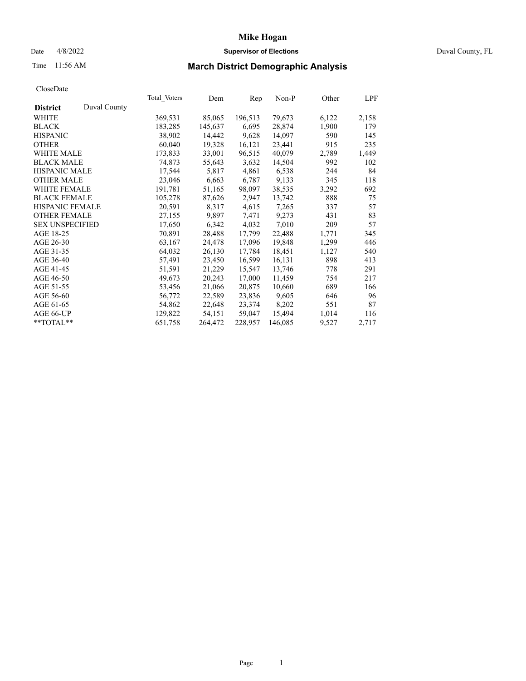## Date 4/8/2022 **Supervisor of Elections** Duval County, FL

# Time 11:56 AM **March District Demographic Analysis**

|                        |              | Total Voters | Dem     | Rep     | Non-P   | Other | LPF   |
|------------------------|--------------|--------------|---------|---------|---------|-------|-------|
| <b>District</b>        | Duval County |              |         |         |         |       |       |
| WHITE                  |              | 369,531      | 85,065  | 196,513 | 79,673  | 6,122 | 2,158 |
| <b>BLACK</b>           |              | 183,285      | 145,637 | 6,695   | 28,874  | 1,900 | 179   |
| <b>HISPANIC</b>        |              | 38,902       | 14,442  | 9,628   | 14,097  | 590   | 145   |
| <b>OTHER</b>           |              | 60,040       | 19,328  | 16,121  | 23,441  | 915   | 235   |
| WHITE MALE             |              | 173,833      | 33,001  | 96,515  | 40,079  | 2,789 | 1,449 |
| <b>BLACK MALE</b>      |              | 74,873       | 55,643  | 3,632   | 14,504  | 992   | 102   |
| <b>HISPANIC MALE</b>   |              | 17,544       | 5,817   | 4,861   | 6,538   | 244   | 84    |
| <b>OTHER MALE</b>      |              | 23,046       | 6,663   | 6,787   | 9,133   | 345   | 118   |
| <b>WHITE FEMALE</b>    |              | 191,781      | 51,165  | 98,097  | 38,535  | 3,292 | 692   |
| <b>BLACK FEMALE</b>    |              | 105,278      | 87,626  | 2,947   | 13,742  | 888   | 75    |
| <b>HISPANIC FEMALE</b> |              | 20,591       | 8,317   | 4,615   | 7,265   | 337   | 57    |
| <b>OTHER FEMALE</b>    |              | 27,155       | 9,897   | 7,471   | 9,273   | 431   | 83    |
| <b>SEX UNSPECIFIED</b> |              | 17,650       | 6,342   | 4,032   | 7,010   | 209   | 57    |
| AGE 18-25              |              | 70,891       | 28,488  | 17,799  | 22,488  | 1,771 | 345   |
| AGE 26-30              |              | 63,167       | 24,478  | 17,096  | 19,848  | 1,299 | 446   |
| AGE 31-35              |              | 64,032       | 26,130  | 17,784  | 18,451  | 1,127 | 540   |
| AGE 36-40              |              | 57,491       | 23,450  | 16,599  | 16,131  | 898   | 413   |
| AGE 41-45              |              | 51,591       | 21,229  | 15,547  | 13,746  | 778   | 291   |
| AGE 46-50              |              | 49,673       | 20,243  | 17,000  | 11,459  | 754   | 217   |
| AGE 51-55              |              | 53,456       | 21,066  | 20,875  | 10,660  | 689   | 166   |
| AGE 56-60              |              | 56,772       | 22,589  | 23,836  | 9,605   | 646   | 96    |
| AGE 61-65              |              | 54,862       | 22,648  | 23,374  | 8,202   | 551   | 87    |
| AGE 66-UP              |              | 129,822      | 54,151  | 59,047  | 15,494  | 1,014 | 116   |
| $*$ TOTAL $*$          |              | 651,758      | 264,472 | 228,957 | 146,085 | 9,527 | 2,717 |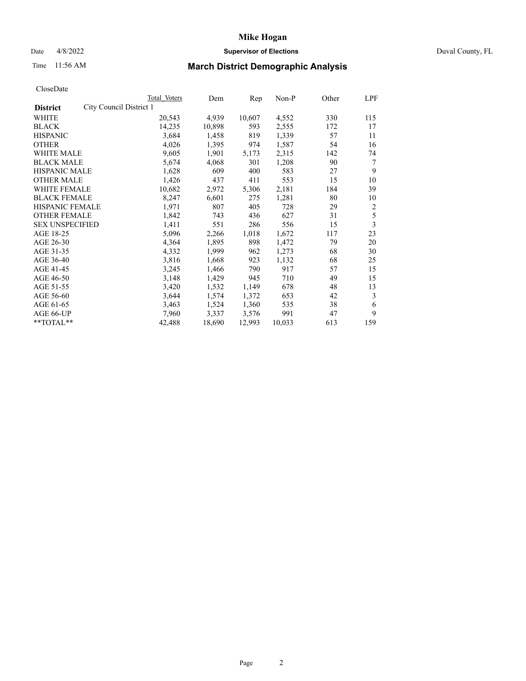## Date 4/8/2022 **Supervisor of Elections** Duval County, FL

# Time 11:56 AM **March District Demographic Analysis**

|                                            | <b>Total Voters</b> | Dem    | Rep    | Non-P  | Other | LPF |
|--------------------------------------------|---------------------|--------|--------|--------|-------|-----|
| City Council District 1<br><b>District</b> |                     |        |        |        |       |     |
| WHITE                                      | 20,543              | 4,939  | 10,607 | 4,552  | 330   | 115 |
| <b>BLACK</b>                               | 14,235              | 10,898 | 593    | 2,555  | 172   | 17  |
| <b>HISPANIC</b>                            | 3,684               | 1,458  | 819    | 1,339  | 57    | 11  |
| <b>OTHER</b>                               | 4,026               | 1,395  | 974    | 1,587  | 54    | 16  |
| WHITE MALE                                 | 9,605               | 1,901  | 5,173  | 2,315  | 142   | 74  |
| <b>BLACK MALE</b>                          | 5,674               | 4,068  | 301    | 1,208  | 90    | 7   |
| <b>HISPANIC MALE</b>                       | 1,628               | 609    | 400    | 583    | 27    | 9   |
| <b>OTHER MALE</b>                          | 1,426               | 437    | 411    | 553    | 15    | 10  |
| WHITE FEMALE                               | 10,682              | 2,972  | 5,306  | 2,181  | 184   | 39  |
| <b>BLACK FEMALE</b>                        | 8,247               | 6,601  | 275    | 1,281  | 80    | 10  |
| HISPANIC FEMALE                            | 1,971               | 807    | 405    | 728    | 29    | 2   |
| <b>OTHER FEMALE</b>                        | 1,842               | 743    | 436    | 627    | 31    | 5   |
| <b>SEX UNSPECIFIED</b>                     | 1,411               | 551    | 286    | 556    | 15    | 3   |
| AGE 18-25                                  | 5,096               | 2,266  | 1,018  | 1,672  | 117   | 23  |
| AGE 26-30                                  | 4,364               | 1,895  | 898    | 1,472  | 79    | 20  |
| AGE 31-35                                  | 4,332               | 1,999  | 962    | 1,273  | 68    | 30  |
| AGE 36-40                                  | 3,816               | 1,668  | 923    | 1,132  | 68    | 25  |
| AGE 41-45                                  | 3,245               | 1,466  | 790    | 917    | 57    | 15  |
| AGE 46-50                                  | 3,148               | 1,429  | 945    | 710    | 49    | 15  |
| AGE 51-55                                  | 3,420               | 1,532  | 1,149  | 678    | 48    | 13  |
| AGE 56-60                                  | 3,644               | 1,574  | 1,372  | 653    | 42    | 3   |
| AGE 61-65                                  | 3,463               | 1,524  | 1,360  | 535    | 38    | 6   |
| AGE 66-UP                                  | 7,960               | 3,337  | 3,576  | 991    | 47    | 9   |
| **TOTAL**                                  | 42,488              | 18,690 | 12,993 | 10,033 | 613   | 159 |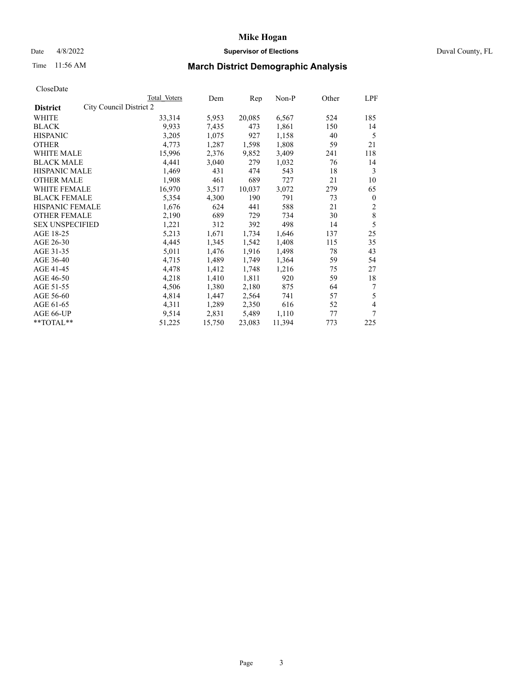## Date 4/8/2022 **Supervisor of Elections** Duval County, FL

# Time 11:56 AM **March District Demographic Analysis**

|                                            | Total Voters | Dem    | Rep    | $Non-P$ | Other | LPF          |
|--------------------------------------------|--------------|--------|--------|---------|-------|--------------|
| City Council District 2<br><b>District</b> |              |        |        |         |       |              |
| WHITE                                      | 33,314       | 5,953  | 20,085 | 6,567   | 524   | 185          |
| <b>BLACK</b>                               | 9,933        | 7,435  | 473    | 1,861   | 150   | 14           |
| <b>HISPANIC</b>                            | 3,205        | 1,075  | 927    | 1,158   | 40    | 5            |
| <b>OTHER</b>                               | 4,773        | 1,287  | 1,598  | 1,808   | 59    | 21           |
| WHITE MALE                                 | 15,996       | 2,376  | 9,852  | 3,409   | 241   | 118          |
| <b>BLACK MALE</b>                          | 4,441        | 3,040  | 279    | 1,032   | 76    | 14           |
| <b>HISPANIC MALE</b>                       | 1,469        | 431    | 474    | 543     | 18    | 3            |
| <b>OTHER MALE</b>                          | 1,908        | 461    | 689    | 727     | 21    | 10           |
| WHITE FEMALE                               | 16,970       | 3,517  | 10,037 | 3,072   | 279   | 65           |
| <b>BLACK FEMALE</b>                        | 5,354        | 4,300  | 190    | 791     | 73    | $\mathbf{0}$ |
| HISPANIC FEMALE                            | 1,676        | 624    | 441    | 588     | 21    | 2            |
| <b>OTHER FEMALE</b>                        | 2,190        | 689    | 729    | 734     | 30    | 8            |
| <b>SEX UNSPECIFIED</b>                     | 1,221        | 312    | 392    | 498     | 14    | 5            |
| AGE 18-25                                  | 5,213        | 1,671  | 1,734  | 1,646   | 137   | 25           |
| AGE 26-30                                  | 4,445        | 1,345  | 1,542  | 1,408   | 115   | 35           |
| AGE 31-35                                  | 5,011        | 1,476  | 1,916  | 1,498   | 78    | 43           |
| AGE 36-40                                  | 4,715        | 1,489  | 1,749  | 1,364   | 59    | 54           |
| AGE 41-45                                  | 4,478        | 1,412  | 1,748  | 1,216   | 75    | 27           |
| AGE 46-50                                  | 4,218        | 1,410  | 1,811  | 920     | 59    | 18           |
| AGE 51-55                                  | 4,506        | 1,380  | 2,180  | 875     | 64    | 7            |
| AGE 56-60                                  | 4,814        | 1,447  | 2,564  | 741     | 57    | 5            |
| AGE 61-65                                  | 4,311        | 1,289  | 2,350  | 616     | 52    | 4            |
| AGE 66-UP                                  | 9,514        | 2,831  | 5,489  | 1,110   | 77    | 7            |
| **TOTAL**                                  | 51,225       | 15,750 | 23,083 | 11,394  | 773   | 225          |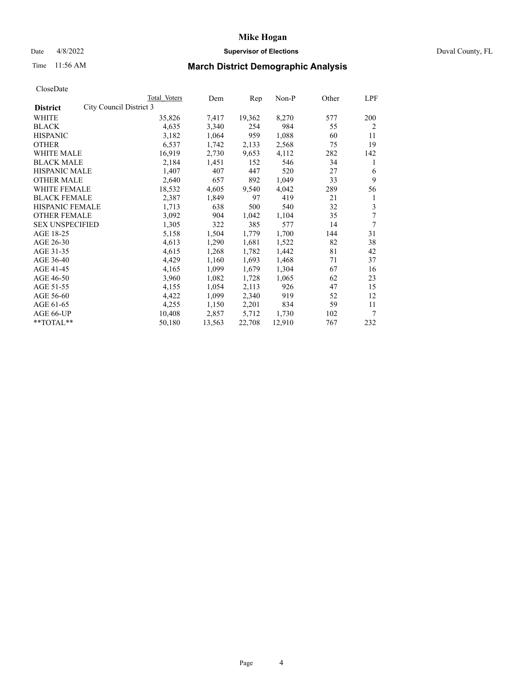## Date 4/8/2022 **Supervisor of Elections** Duval County, FL

# Time 11:56 AM **March District Demographic Analysis**

|                                            | Total Voters | Dem    | Rep    | $Non-P$ | Other | LPF            |
|--------------------------------------------|--------------|--------|--------|---------|-------|----------------|
| City Council District 3<br><b>District</b> |              |        |        |         |       |                |
| WHITE                                      | 35,826       | 7,417  | 19,362 | 8,270   | 577   | 200            |
| <b>BLACK</b>                               | 4,635        | 3,340  | 254    | 984     | 55    | $\overline{2}$ |
| <b>HISPANIC</b>                            | 3,182        | 1,064  | 959    | 1,088   | 60    | 11             |
| <b>OTHER</b>                               | 6,537        | 1,742  | 2,133  | 2,568   | 75    | 19             |
| WHITE MALE                                 | 16,919       | 2,730  | 9,653  | 4,112   | 282   | 142            |
| <b>BLACK MALE</b>                          | 2,184        | 1,451  | 152    | 546     | 34    | 1              |
| <b>HISPANIC MALE</b>                       | 1,407        | 407    | 447    | 520     | 27    | 6              |
| <b>OTHER MALE</b>                          | 2,640        | 657    | 892    | 1,049   | 33    | 9              |
| WHITE FEMALE                               | 18,532       | 4,605  | 9,540  | 4,042   | 289   | 56             |
| <b>BLACK FEMALE</b>                        | 2,387        | 1,849  | 97     | 419     | 21    | 1              |
| HISPANIC FEMALE                            | 1,713        | 638    | 500    | 540     | 32    | 3              |
| <b>OTHER FEMALE</b>                        | 3,092        | 904    | 1,042  | 1,104   | 35    | 7              |
| <b>SEX UNSPECIFIED</b>                     | 1,305        | 322    | 385    | 577     | 14    | 7              |
| AGE 18-25                                  | 5,158        | 1,504  | 1,779  | 1,700   | 144   | 31             |
| AGE 26-30                                  | 4,613        | 1,290  | 1,681  | 1,522   | 82    | 38             |
| AGE 31-35                                  | 4,615        | 1,268  | 1,782  | 1,442   | 81    | 42             |
| AGE 36-40                                  | 4,429        | 1,160  | 1,693  | 1,468   | 71    | 37             |
| AGE 41-45                                  | 4,165        | 1,099  | 1,679  | 1,304   | 67    | 16             |
| AGE 46-50                                  | 3,960        | 1,082  | 1,728  | 1,065   | 62    | 23             |
| AGE 51-55                                  | 4,155        | 1,054  | 2,113  | 926     | 47    | 15             |
| AGE 56-60                                  | 4,422        | 1,099  | 2,340  | 919     | 52    | 12             |
| AGE 61-65                                  | 4,255        | 1,150  | 2,201  | 834     | 59    | 11             |
| AGE 66-UP                                  | 10,408       | 2,857  | 5,712  | 1,730   | 102   | 7              |
| **TOTAL**                                  | 50,180       | 13,563 | 22,708 | 12,910  | 767   | 232            |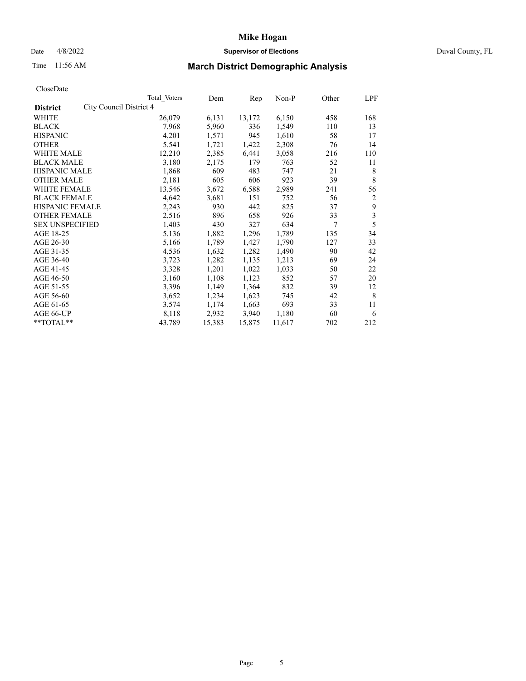## Date 4/8/2022 **Supervisor of Elections** Duval County, FL

# Time 11:56 AM **March District Demographic Analysis**

| Total Voters            | Dem    | Rep    | $Non-P$ | Other | LPF                     |
|-------------------------|--------|--------|---------|-------|-------------------------|
| City Council District 4 |        |        |         |       |                         |
| 26,079                  | 6,131  | 13,172 | 6,150   | 458   | 168                     |
| 7,968                   | 5,960  | 336    | 1,549   | 110   | 13                      |
| 4,201                   | 1,571  | 945    | 1,610   | 58    | 17                      |
| 5,541                   | 1,721  | 1,422  | 2,308   | 76    | 14                      |
| 12,210                  | 2,385  | 6,441  | 3,058   | 216   | 110                     |
| 3,180                   | 2,175  | 179    | 763     | 52    | 11                      |
| 1,868                   | 609    | 483    | 747     | 21    | 8                       |
| 2,181                   | 605    | 606    | 923     | 39    | 8                       |
| 13,546                  | 3,672  | 6,588  | 2,989   | 241   | 56                      |
| 4,642                   | 3,681  | 151    | 752     | 56    | 2                       |
| 2,243                   | 930    | 442    | 825     | 37    | 9                       |
| 2,516                   | 896    | 658    | 926     | 33    | $\overline{\mathbf{3}}$ |
| 1,403                   | 430    | 327    | 634     | 7     | 5                       |
| 5,136                   | 1,882  | 1,296  | 1,789   | 135   | 34                      |
| 5,166                   | 1,789  | 1,427  | 1,790   | 127   | 33                      |
| 4,536                   | 1,632  | 1,282  | 1,490   | 90    | 42                      |
| 3,723                   | 1,282  | 1,135  | 1,213   | 69    | 24                      |
| 3,328                   | 1,201  | 1,022  | 1,033   | 50    | 22                      |
| 3,160                   | 1,108  | 1,123  | 852     | 57    | 20                      |
| 3,396                   | 1,149  | 1,364  | 832     | 39    | 12                      |
| 3,652                   | 1,234  | 1,623  | 745     | 42    | 8                       |
| 3,574                   | 1,174  | 1,663  | 693     | 33    | 11                      |
| 8,118                   | 2,932  | 3,940  | 1,180   | 60    | 6                       |
| 43,789                  | 15,383 | 15,875 | 11,617  | 702   | 212                     |
|                         |        |        |         |       |                         |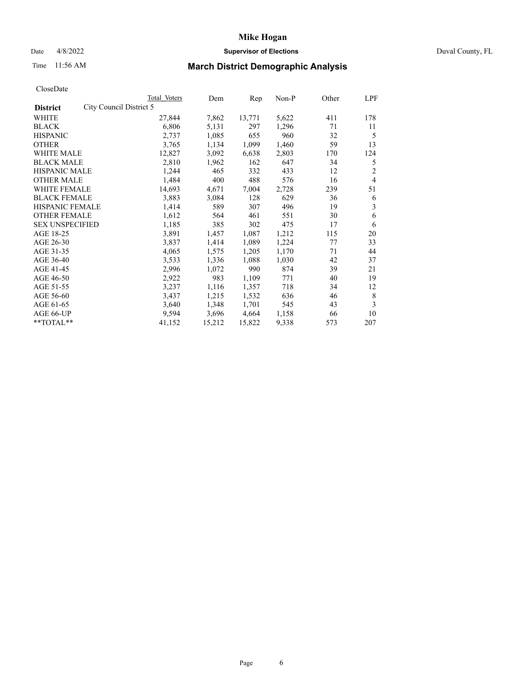## Date 4/8/2022 **Supervisor of Elections** Duval County, FL

# Time 11:56 AM **March District Demographic Analysis**

|                        | Total Voters | Dem                     | Rep    | Non-P | Other | LPF            |
|------------------------|--------------|-------------------------|--------|-------|-------|----------------|
|                        |              |                         |        |       |       |                |
|                        | 27,844       | 7,862                   | 13,771 | 5,622 | 411   | 178            |
|                        | 6,806        | 5,131                   | 297    | 1,296 | 71    | 11             |
|                        | 2,737        | 1,085                   | 655    | 960   | 32    | 5              |
|                        | 3,765        | 1,134                   | 1,099  | 1,460 | 59    | 13             |
|                        | 12,827       | 3,092                   | 6,638  | 2,803 | 170   | 124            |
|                        | 2,810        | 1,962                   | 162    | 647   | 34    | 5              |
| <b>HISPANIC MALE</b>   | 1,244        | 465                     | 332    | 433   | 12    | $\overline{2}$ |
|                        | 1,484        | 400                     | 488    | 576   | 16    | $\overline{4}$ |
| WHITE FEMALE           | 14,693       | 4,671                   | 7,004  | 2,728 | 239   | 51             |
| <b>BLACK FEMALE</b>    | 3,883        | 3,084                   | 128    | 629   | 36    | 6              |
| HISPANIC FEMALE        | 1,414        | 589                     | 307    | 496   | 19    | 3              |
| <b>OTHER FEMALE</b>    | 1,612        | 564                     | 461    | 551   | 30    | 6              |
| <b>SEX UNSPECIFIED</b> | 1,185        | 385                     | 302    | 475   | 17    | 6              |
|                        | 3,891        | 1,457                   | 1,087  | 1,212 | 115   | 20             |
|                        | 3,837        | 1,414                   | 1,089  | 1,224 | 77    | 33             |
|                        | 4,065        | 1,575                   | 1,205  | 1,170 | 71    | 44             |
|                        | 3,533        | 1,336                   | 1,088  | 1,030 | 42    | 37             |
|                        | 2,996        | 1,072                   | 990    | 874   | 39    | 21             |
|                        | 2,922        | 983                     | 1,109  | 771   | 40    | 19             |
|                        | 3,237        | 1,116                   | 1,357  | 718   | 34    | 12             |
|                        | 3,437        | 1,215                   | 1,532  | 636   | 46    | 8              |
|                        | 3,640        | 1,348                   | 1,701  | 545   | 43    | 3              |
|                        | 9,594        | 3,696                   | 4,664  | 1,158 | 66    | 10             |
|                        | 41,152       | 15,212                  | 15,822 | 9,338 | 573   | 207            |
|                        |              | City Council District 5 |        |       |       |                |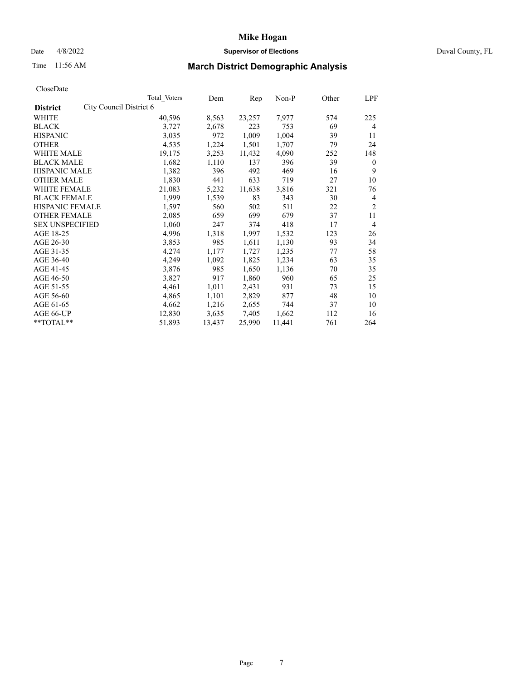#### Date 4/8/2022 **Supervisor of Elections** Duval County, FL

# Time 11:56 AM **March District Demographic Analysis**

|                        |                         | Total Voters | Dem    | Rep    | Non-P  | Other | LPF            |
|------------------------|-------------------------|--------------|--------|--------|--------|-------|----------------|
| <b>District</b>        | City Council District 6 |              |        |        |        |       |                |
| WHITE                  |                         | 40,596       | 8,563  | 23,257 | 7,977  | 574   | 225            |
| <b>BLACK</b>           |                         | 3,727        | 2,678  | 223    | 753    | 69    | 4              |
| <b>HISPANIC</b>        |                         | 3,035        | 972    | 1,009  | 1,004  | 39    | 11             |
| <b>OTHER</b>           |                         | 4,535        | 1,224  | 1,501  | 1,707  | 79    | 24             |
| WHITE MALE             |                         | 19,175       | 3,253  | 11,432 | 4,090  | 252   | 148            |
| <b>BLACK MALE</b>      |                         | 1,682        | 1,110  | 137    | 396    | 39    | $\mathbf{0}$   |
| <b>HISPANIC MALE</b>   |                         | 1,382        | 396    | 492    | 469    | 16    | 9              |
| <b>OTHER MALE</b>      |                         | 1,830        | 441    | 633    | 719    | 27    | 10             |
| WHITE FEMALE           |                         | 21,083       | 5,232  | 11,638 | 3,816  | 321   | 76             |
| <b>BLACK FEMALE</b>    |                         | 1,999        | 1,539  | 83     | 343    | 30    | $\overline{4}$ |
| HISPANIC FEMALE        |                         | 1,597        | 560    | 502    | 511    | 22    | $\overline{2}$ |
| <b>OTHER FEMALE</b>    |                         | 2,085        | 659    | 699    | 679    | 37    | 11             |
| <b>SEX UNSPECIFIED</b> |                         | 1,060        | 247    | 374    | 418    | 17    | $\overline{4}$ |
| AGE 18-25              |                         | 4,996        | 1,318  | 1,997  | 1,532  | 123   | 26             |
| AGE 26-30              |                         | 3,853        | 985    | 1,611  | 1,130  | 93    | 34             |
| AGE 31-35              |                         | 4,274        | 1,177  | 1,727  | 1,235  | 77    | 58             |
| AGE 36-40              |                         | 4,249        | 1,092  | 1,825  | 1,234  | 63    | 35             |
| AGE 41-45              |                         | 3,876        | 985    | 1,650  | 1,136  | 70    | 35             |
| AGE 46-50              |                         | 3,827        | 917    | 1,860  | 960    | 65    | 25             |
| AGE 51-55              |                         | 4,461        | 1,011  | 2,431  | 931    | 73    | 15             |
| AGE 56-60              |                         | 4,865        | 1,101  | 2,829  | 877    | 48    | 10             |
| AGE 61-65              |                         | 4,662        | 1,216  | 2,655  | 744    | 37    | 10             |
| AGE 66-UP              |                         | 12,830       | 3,635  | 7,405  | 1,662  | 112   | 16             |
| **TOTAL**              |                         | 51,893       | 13,437 | 25,990 | 11,441 | 761   | 264            |
|                        |                         |              |        |        |        |       |                |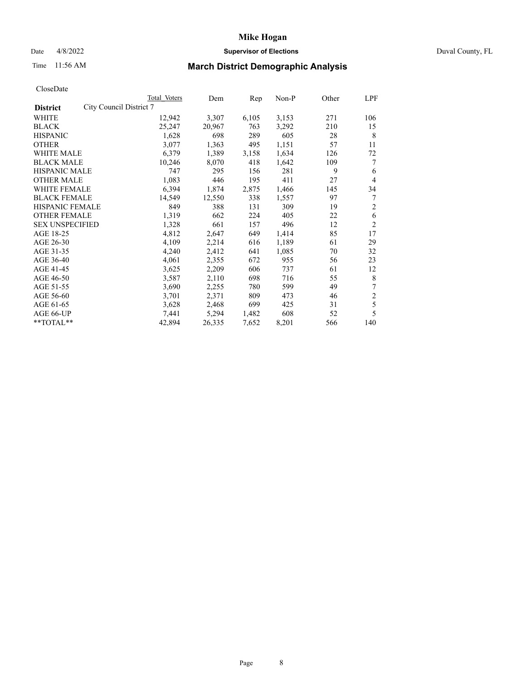## Date 4/8/2022 **Supervisor of Elections** Duval County, FL

# Time 11:56 AM **March District Demographic Analysis**

|                                            | Total Voters | Dem    | Rep   | Non-P | Other | LPF |
|--------------------------------------------|--------------|--------|-------|-------|-------|-----|
| City Council District 7<br><b>District</b> |              |        |       |       |       |     |
| WHITE                                      | 12,942       | 3,307  | 6,105 | 3,153 | 271   | 106 |
| <b>BLACK</b>                               | 25,247       | 20,967 | 763   | 3,292 | 210   | 15  |
| <b>HISPANIC</b>                            | 1,628        | 698    | 289   | 605   | 28    | 8   |
| <b>OTHER</b>                               | 3,077        | 1,363  | 495   | 1,151 | 57    | 11  |
| <b>WHITE MALE</b>                          | 6,379        | 1,389  | 3,158 | 1,634 | 126   | 72  |
| <b>BLACK MALE</b>                          | 10,246       | 8,070  | 418   | 1,642 | 109   | 7   |
| <b>HISPANIC MALE</b>                       | 747          | 295    | 156   | 281   | 9     | 6   |
| <b>OTHER MALE</b>                          | 1,083        | 446    | 195   | 411   | 27    | 4   |
| WHITE FEMALE                               | 6,394        | 1,874  | 2,875 | 1,466 | 145   | 34  |
| <b>BLACK FEMALE</b>                        | 14,549       | 12,550 | 338   | 1,557 | 97    | 7   |
| HISPANIC FEMALE                            | 849          | 388    | 131   | 309   | 19    | 2   |
| <b>OTHER FEMALE</b>                        | 1,319        | 662    | 224   | 405   | 22    | 6   |
| <b>SEX UNSPECIFIED</b>                     | 1,328        | 661    | 157   | 496   | 12    | 2   |
| AGE 18-25                                  | 4,812        | 2,647  | 649   | 1,414 | 85    | 17  |
| AGE 26-30                                  | 4,109        | 2,214  | 616   | 1,189 | 61    | 29  |
| AGE 31-35                                  | 4,240        | 2,412  | 641   | 1,085 | 70    | 32  |
| AGE 36-40                                  | 4,061        | 2,355  | 672   | 955   | 56    | 23  |
| AGE 41-45                                  | 3,625        | 2,209  | 606   | 737   | 61    | 12  |
| AGE 46-50                                  | 3,587        | 2,110  | 698   | 716   | 55    | 8   |
| AGE 51-55                                  | 3,690        | 2,255  | 780   | 599   | 49    | 7   |
| AGE 56-60                                  | 3,701        | 2,371  | 809   | 473   | 46    | 2   |
| AGE 61-65                                  | 3,628        | 2,468  | 699   | 425   | 31    | 5   |
| AGE 66-UP                                  | 7,441        | 5,294  | 1,482 | 608   | 52    | 5   |
| $*$ $TOTAL**$                              | 42,894       | 26,335 | 7,652 | 8,201 | 566   | 140 |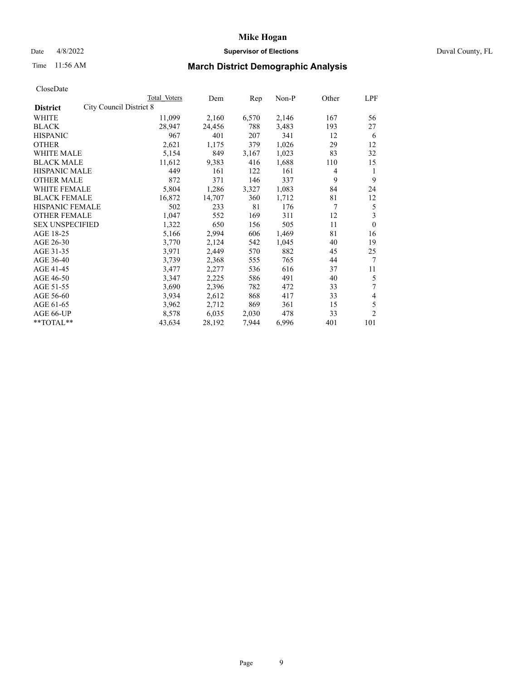## Date 4/8/2022 **Supervisor of Elections** Duval County, FL

# Time 11:56 AM **March District Demographic Analysis**

|                                            | Total Voters | Dem    | Rep   | Non-P | Other | LPF            |
|--------------------------------------------|--------------|--------|-------|-------|-------|----------------|
| City Council District 8<br><b>District</b> |              |        |       |       |       |                |
| WHITE                                      | 11,099       | 2,160  | 6,570 | 2,146 | 167   | 56             |
| <b>BLACK</b>                               | 28,947       | 24,456 | 788   | 3,483 | 193   | 27             |
| <b>HISPANIC</b>                            | 967          | 401    | 207   | 341   | 12    | 6              |
| <b>OTHER</b>                               | 2,621        | 1,175  | 379   | 1,026 | 29    | 12             |
| WHITE MALE                                 | 5,154        | 849    | 3,167 | 1,023 | 83    | 32             |
| <b>BLACK MALE</b>                          | 11,612       | 9,383  | 416   | 1,688 | 110   | 15             |
| <b>HISPANIC MALE</b>                       | 449          | 161    | 122   | 161   | 4     | 1              |
| <b>OTHER MALE</b>                          | 872          | 371    | 146   | 337   | 9     | 9              |
| WHITE FEMALE                               | 5,804        | 1,286  | 3,327 | 1,083 | 84    | 24             |
| <b>BLACK FEMALE</b>                        | 16,872       | 14,707 | 360   | 1,712 | 81    | 12             |
| <b>HISPANIC FEMALE</b>                     | 502          | 233    | 81    | 176   | 7     | 5              |
| <b>OTHER FEMALE</b>                        | 1,047        | 552    | 169   | 311   | 12    | 3              |
| <b>SEX UNSPECIFIED</b>                     | 1,322        | 650    | 156   | 505   | 11    | $\mathbf{0}$   |
| AGE 18-25                                  | 5,166        | 2,994  | 606   | 1,469 | 81    | 16             |
| AGE 26-30                                  | 3,770        | 2,124  | 542   | 1,045 | 40    | 19             |
| AGE 31-35                                  | 3,971        | 2,449  | 570   | 882   | 45    | 25             |
| AGE 36-40                                  | 3,739        | 2,368  | 555   | 765   | 44    | 7              |
| AGE 41-45                                  | 3,477        | 2,277  | 536   | 616   | 37    | 11             |
| AGE 46-50                                  | 3,347        | 2,225  | 586   | 491   | 40    | 5              |
| AGE 51-55                                  | 3,690        | 2,396  | 782   | 472   | 33    | 7              |
| AGE 56-60                                  | 3,934        | 2,612  | 868   | 417   | 33    | 4              |
| AGE 61-65                                  | 3,962        | 2,712  | 869   | 361   | 15    | 5              |
| AGE 66-UP                                  | 8,578        | 6,035  | 2,030 | 478   | 33    | $\overline{2}$ |
| **TOTAL**                                  | 43,634       | 28,192 | 7,944 | 6,996 | 401   | 101            |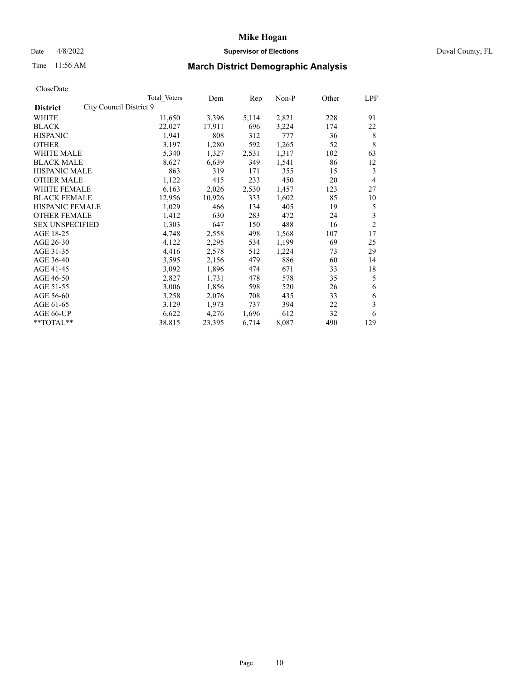## Date 4/8/2022 **Supervisor of Elections** Duval County, FL

# Time 11:56 AM **March District Demographic Analysis**

|                                            | Total Voters | Dem    | Rep   | Non-P | Other | LPF            |
|--------------------------------------------|--------------|--------|-------|-------|-------|----------------|
| City Council District 9<br><b>District</b> |              |        |       |       |       |                |
| WHITE                                      | 11,650       | 3,396  | 5,114 | 2,821 | 228   | 91             |
| <b>BLACK</b>                               | 22,027       | 17,911 | 696   | 3,224 | 174   | 22             |
| <b>HISPANIC</b>                            | 1,941        | 808    | 312   | 777   | 36    | 8              |
| <b>OTHER</b>                               | 3,197        | 1,280  | 592   | 1,265 | 52    | 8              |
| WHITE MALE                                 | 5,340        | 1,327  | 2,531 | 1,317 | 102   | 63             |
| <b>BLACK MALE</b>                          | 8,627        | 6,639  | 349   | 1,541 | 86    | 12             |
| <b>HISPANIC MALE</b>                       | 863          | 319    | 171   | 355   | 15    | 3              |
| <b>OTHER MALE</b>                          | 1,122        | 415    | 233   | 450   | 20    | 4              |
| <b>WHITE FEMALE</b>                        | 6,163        | 2,026  | 2,530 | 1,457 | 123   | 27             |
| <b>BLACK FEMALE</b>                        | 12,956       | 10,926 | 333   | 1,602 | 85    | 10             |
| <b>HISPANIC FEMALE</b>                     | 1,029        | 466    | 134   | 405   | 19    | 5              |
| <b>OTHER FEMALE</b>                        | 1,412        | 630    | 283   | 472   | 24    | 3              |
| <b>SEX UNSPECIFIED</b>                     | 1,303        | 647    | 150   | 488   | 16    | $\overline{2}$ |
| AGE 18-25                                  | 4,748        | 2,558  | 498   | 1,568 | 107   | 17             |
| AGE 26-30                                  | 4,122        | 2,295  | 534   | 1,199 | 69    | 25             |
| AGE 31-35                                  | 4,416        | 2,578  | 512   | 1,224 | 73    | 29             |
| AGE 36-40                                  | 3,595        | 2,156  | 479   | 886   | 60    | 14             |
| AGE 41-45                                  | 3,092        | 1,896  | 474   | 671   | 33    | 18             |
| AGE 46-50                                  | 2,827        | 1,731  | 478   | 578   | 35    | 5              |
| AGE 51-55                                  | 3,006        | 1,856  | 598   | 520   | 26    | 6              |
| AGE 56-60                                  | 3,258        | 2,076  | 708   | 435   | 33    | 6              |
| AGE 61-65                                  | 3,129        | 1,973  | 737   | 394   | 22    | 3              |
| AGE 66-UP                                  | 6,622        | 4,276  | 1,696 | 612   | 32    | 6              |
| $*$ TOTAL $**$                             | 38,815       | 23,395 | 6,714 | 8,087 | 490   | 129            |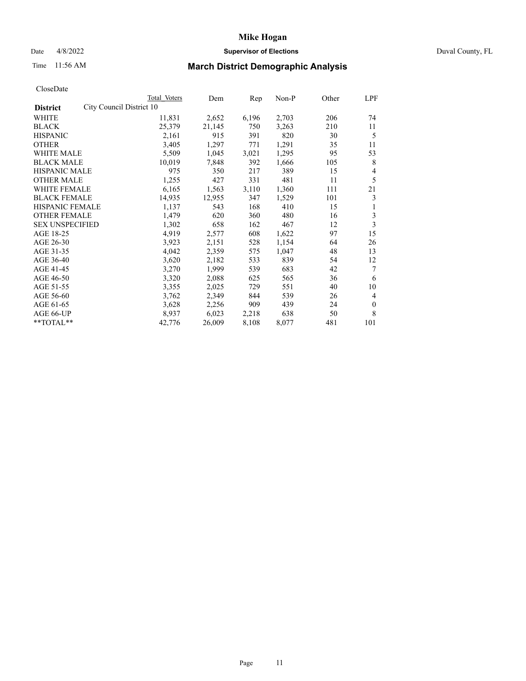## Date 4/8/2022 **Supervisor of Elections** Duval County, FL

# Time 11:56 AM **March District Demographic Analysis**

|                                             | Total Voters | Dem    | Rep   | Non-P | Other | LPF            |
|---------------------------------------------|--------------|--------|-------|-------|-------|----------------|
| City Council District 10<br><b>District</b> |              |        |       |       |       |                |
| WHITE                                       | 11,831       | 2,652  | 6,196 | 2,703 | 206   | 74             |
| <b>BLACK</b>                                | 25,379       | 21,145 | 750   | 3,263 | 210   | 11             |
| <b>HISPANIC</b>                             | 2,161        | 915    | 391   | 820   | 30    | 5              |
| <b>OTHER</b>                                | 3,405        | 1,297  | 771   | 1,291 | 35    | 11             |
| WHITE MALE                                  | 5,509        | 1,045  | 3,021 | 1,295 | 95    | 53             |
| <b>BLACK MALE</b>                           | 10,019       | 7,848  | 392   | 1,666 | 105   | 8              |
| <b>HISPANIC MALE</b>                        | 975          | 350    | 217   | 389   | 15    | 4              |
| <b>OTHER MALE</b>                           | 1,255        | 427    | 331   | 481   | 11    | 5              |
| WHITE FEMALE                                | 6,165        | 1,563  | 3,110 | 1,360 | 111   | 21             |
| <b>BLACK FEMALE</b>                         | 14,935       | 12,955 | 347   | 1,529 | 101   | 3              |
| <b>HISPANIC FEMALE</b>                      | 1,137        | 543    | 168   | 410   | 15    | 1              |
| <b>OTHER FEMALE</b>                         | 1,479        | 620    | 360   | 480   | 16    | 3              |
| <b>SEX UNSPECIFIED</b>                      | 1,302        | 658    | 162   | 467   | 12    | 3              |
| AGE 18-25                                   | 4,919        | 2,577  | 608   | 1,622 | 97    | 15             |
| AGE 26-30                                   | 3,923        | 2,151  | 528   | 1,154 | 64    | 26             |
| AGE 31-35                                   | 4,042        | 2,359  | 575   | 1,047 | 48    | 13             |
| AGE 36-40                                   | 3,620        | 2,182  | 533   | 839   | 54    | 12             |
| AGE 41-45                                   | 3,270        | 1,999  | 539   | 683   | 42    | 7              |
| AGE 46-50                                   | 3,320        | 2,088  | 625   | 565   | 36    | 6              |
| AGE 51-55                                   | 3,355        | 2,025  | 729   | 551   | 40    | 10             |
| AGE 56-60                                   | 3,762        | 2,349  | 844   | 539   | 26    | $\overline{4}$ |
| AGE 61-65                                   | 3,628        | 2,256  | 909   | 439   | 24    | $\mathbf{0}$   |
| AGE 66-UP                                   | 8,937        | 6,023  | 2,218 | 638   | 50    | 8              |
| $*$ TOTAL $**$                              | 42,776       | 26,009 | 8,108 | 8,077 | 481   | 101            |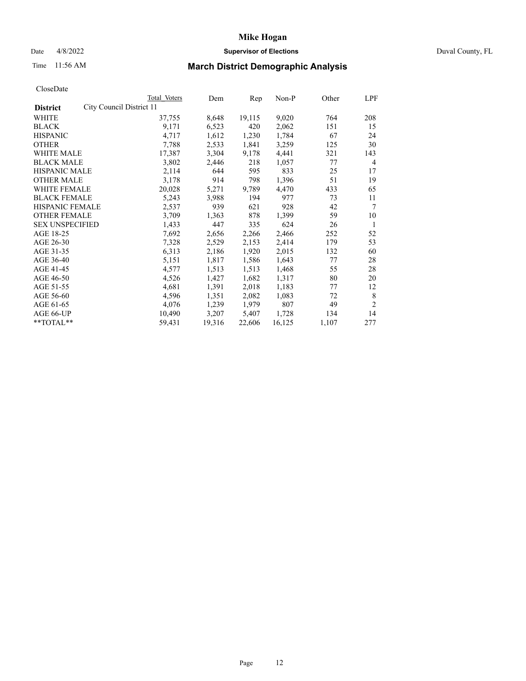## Date 4/8/2022 **Supervisor of Elections** Duval County, FL

# Time 11:56 AM **March District Demographic Analysis**

|                                             | Total Voters | Dem    | Rep    | Non-P  | Other | LPF            |
|---------------------------------------------|--------------|--------|--------|--------|-------|----------------|
| City Council District 11<br><b>District</b> |              |        |        |        |       |                |
| WHITE                                       | 37,755       | 8,648  | 19,115 | 9,020  | 764   | 208            |
| <b>BLACK</b>                                | 9,171        | 6,523  | 420    | 2,062  | 151   | 15             |
| <b>HISPANIC</b>                             | 4,717        | 1,612  | 1,230  | 1,784  | 67    | 24             |
| <b>OTHER</b>                                | 7,788        | 2,533  | 1,841  | 3,259  | 125   | 30             |
| WHITE MALE                                  | 17,387       | 3,304  | 9,178  | 4,441  | 321   | 143            |
| <b>BLACK MALE</b>                           | 3,802        | 2,446  | 218    | 1,057  | 77    | 4              |
| <b>HISPANIC MALE</b>                        | 2,114        | 644    | 595    | 833    | 25    | 17             |
| <b>OTHER MALE</b>                           | 3,178        | 914    | 798    | 1,396  | 51    | 19             |
| WHITE FEMALE                                | 20,028       | 5,271  | 9,789  | 4,470  | 433   | 65             |
| <b>BLACK FEMALE</b>                         | 5,243        | 3,988  | 194    | 977    | 73    | 11             |
| <b>HISPANIC FEMALE</b>                      | 2,537        | 939    | 621    | 928    | 42    | 7              |
| <b>OTHER FEMALE</b>                         | 3,709        | 1,363  | 878    | 1,399  | 59    | 10             |
| <b>SEX UNSPECIFIED</b>                      | 1,433        | 447    | 335    | 624    | 26    | 1              |
| AGE 18-25                                   | 7,692        | 2,656  | 2,266  | 2,466  | 252   | 52             |
| AGE 26-30                                   | 7,328        | 2,529  | 2,153  | 2,414  | 179   | 53             |
| AGE 31-35                                   | 6,313        | 2,186  | 1,920  | 2,015  | 132   | 60             |
| AGE 36-40                                   | 5,151        | 1,817  | 1,586  | 1,643  | 77    | 28             |
| AGE 41-45                                   | 4,577        | 1,513  | 1,513  | 1,468  | 55    | 28             |
| AGE 46-50                                   | 4,526        | 1,427  | 1,682  | 1,317  | 80    | 20             |
| AGE 51-55                                   | 4,681        | 1,391  | 2,018  | 1,183  | 77    | 12             |
| AGE 56-60                                   | 4,596        | 1,351  | 2,082  | 1,083  | 72    | 8              |
| AGE 61-65                                   | 4,076        | 1,239  | 1,979  | 807    | 49    | $\overline{2}$ |
| AGE 66-UP                                   | 10,490       | 3,207  | 5,407  | 1,728  | 134   | 14             |
| **TOTAL**                                   | 59,431       | 19,316 | 22,606 | 16,125 | 1,107 | 277            |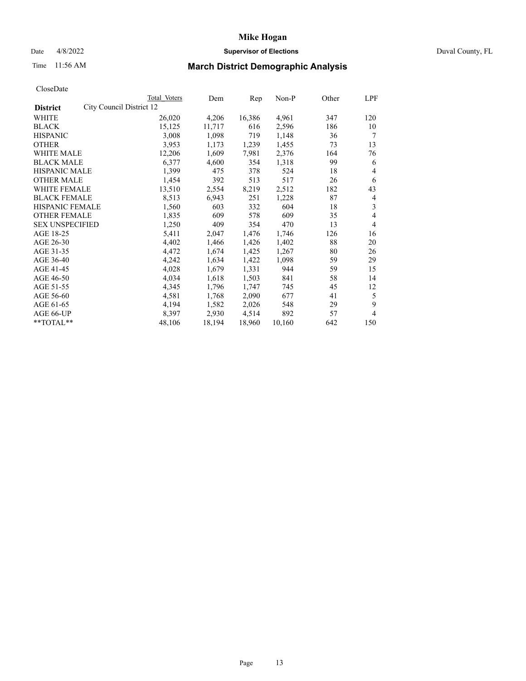## Date 4/8/2022 **Supervisor of Elections** Duval County, FL

# Time 11:56 AM **March District Demographic Analysis**

|                                             | Total Voters | Dem    | Rep    | Non-P  | Other | LPF            |
|---------------------------------------------|--------------|--------|--------|--------|-------|----------------|
| City Council District 12<br><b>District</b> |              |        |        |        |       |                |
| WHITE                                       | 26,020       | 4,206  | 16,386 | 4,961  | 347   | 120            |
| <b>BLACK</b>                                | 15,125       | 11,717 | 616    | 2,596  | 186   | 10             |
| <b>HISPANIC</b>                             | 3,008        | 1,098  | 719    | 1,148  | 36    | 7              |
| <b>OTHER</b>                                | 3,953        | 1,173  | 1,239  | 1,455  | 73    | 13             |
| WHITE MALE                                  | 12,206       | 1,609  | 7,981  | 2,376  | 164   | 76             |
| <b>BLACK MALE</b>                           | 6,377        | 4,600  | 354    | 1,318  | 99    | 6              |
| <b>HISPANIC MALE</b>                        | 1,399        | 475    | 378    | 524    | 18    | 4              |
| <b>OTHER MALE</b>                           | 1,454        | 392    | 513    | 517    | 26    | 6              |
| WHITE FEMALE                                | 13,510       | 2,554  | 8,219  | 2,512  | 182   | 43             |
| <b>BLACK FEMALE</b>                         | 8,513        | 6,943  | 251    | 1,228  | 87    | 4              |
| <b>HISPANIC FEMALE</b>                      | 1,560        | 603    | 332    | 604    | 18    | 3              |
| <b>OTHER FEMALE</b>                         | 1,835        | 609    | 578    | 609    | 35    | 4              |
| <b>SEX UNSPECIFIED</b>                      | 1,250        | 409    | 354    | 470    | 13    | $\overline{4}$ |
| AGE 18-25                                   | 5,411        | 2,047  | 1,476  | 1,746  | 126   | 16             |
| AGE 26-30                                   | 4,402        | 1,466  | 1,426  | 1,402  | 88    | 20             |
| AGE 31-35                                   | 4,472        | 1,674  | 1,425  | 1,267  | 80    | 26             |
| AGE 36-40                                   | 4,242        | 1,634  | 1,422  | 1,098  | 59    | 29             |
| AGE 41-45                                   | 4,028        | 1,679  | 1,331  | 944    | 59    | 15             |
| AGE 46-50                                   | 4,034        | 1,618  | 1,503  | 841    | 58    | 14             |
| AGE 51-55                                   | 4,345        | 1,796  | 1,747  | 745    | 45    | 12             |
| AGE 56-60                                   | 4,581        | 1,768  | 2,090  | 677    | 41    | 5              |
| AGE 61-65                                   | 4,194        | 1,582  | 2,026  | 548    | 29    | 9              |
| AGE 66-UP                                   | 8,397        | 2,930  | 4,514  | 892    | 57    | 4              |
| **TOTAL**                                   | 48,106       | 18,194 | 18,960 | 10,160 | 642   | 150            |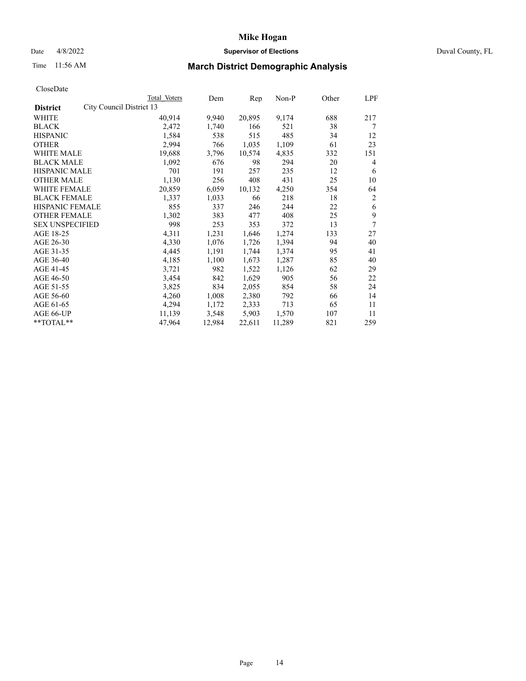## Date 4/8/2022 **Supervisor of Elections** Duval County, FL

# Time 11:56 AM **March District Demographic Analysis**

|                        |                          | Total Voters | Dem    | Rep    | Non-P  | Other | LPF |
|------------------------|--------------------------|--------------|--------|--------|--------|-------|-----|
| <b>District</b>        | City Council District 13 |              |        |        |        |       |     |
| WHITE                  |                          | 40,914       | 9,940  | 20,895 | 9,174  | 688   | 217 |
| <b>BLACK</b>           |                          | 2,472        | 1,740  | 166    | 521    | 38    | 7   |
| <b>HISPANIC</b>        |                          | 1,584        | 538    | 515    | 485    | 34    | 12  |
| <b>OTHER</b>           |                          | 2,994        | 766    | 1,035  | 1,109  | 61    | 23  |
| WHITE MALE             |                          | 19,688       | 3,796  | 10,574 | 4,835  | 332   | 151 |
| <b>BLACK MALE</b>      |                          | 1,092        | 676    | 98     | 294    | 20    | 4   |
| <b>HISPANIC MALE</b>   |                          | 701          | 191    | 257    | 235    | 12    | 6   |
| <b>OTHER MALE</b>      |                          | 1,130        | 256    | 408    | 431    | 25    | 10  |
| WHITE FEMALE           |                          | 20,859       | 6,059  | 10,132 | 4,250  | 354   | 64  |
| <b>BLACK FEMALE</b>    |                          | 1,337        | 1,033  | 66     | 218    | 18    | 2   |
| HISPANIC FEMALE        |                          | 855          | 337    | 246    | 244    | 22    | 6   |
| <b>OTHER FEMALE</b>    |                          | 1,302        | 383    | 477    | 408    | 25    | 9   |
| <b>SEX UNSPECIFIED</b> |                          | 998          | 253    | 353    | 372    | 13    | 7   |
| AGE 18-25              |                          | 4,311        | 1,231  | 1,646  | 1,274  | 133   | 27  |
| AGE 26-30              |                          | 4,330        | 1,076  | 1,726  | 1,394  | 94    | 40  |
| AGE 31-35              |                          | 4,445        | 1,191  | 1,744  | 1,374  | 95    | 41  |
| AGE 36-40              |                          | 4,185        | 1,100  | 1,673  | 1,287  | 85    | 40  |
| AGE 41-45              |                          | 3,721        | 982    | 1,522  | 1,126  | 62    | 29  |
| AGE 46-50              |                          | 3,454        | 842    | 1,629  | 905    | 56    | 22  |
| AGE 51-55              |                          | 3,825        | 834    | 2,055  | 854    | 58    | 24  |
| AGE 56-60              |                          | 4,260        | 1,008  | 2,380  | 792    | 66    | 14  |
| AGE 61-65              |                          | 4,294        | 1,172  | 2,333  | 713    | 65    | 11  |
| AGE 66-UP              |                          | 11,139       | 3,548  | 5,903  | 1,570  | 107   | 11  |
| **TOTAL**              |                          | 47,964       | 12,984 | 22,611 | 11,289 | 821   | 259 |
|                        |                          |              |        |        |        |       |     |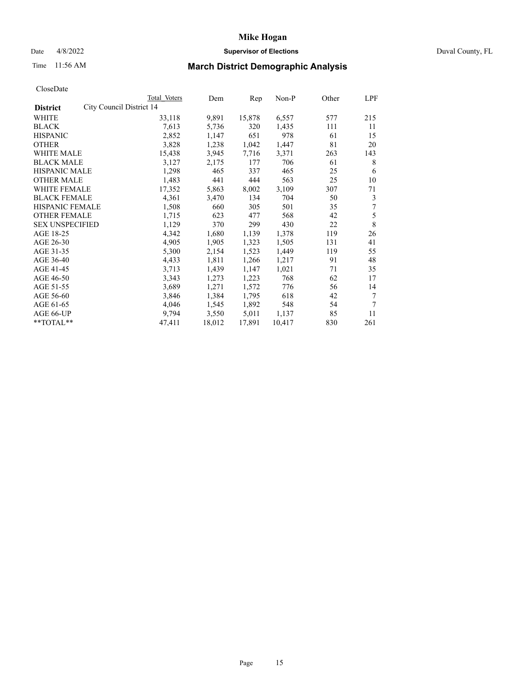## Date 4/8/2022 **Supervisor of Elections** Duval County, FL

# Time 11:56 AM **March District Demographic Analysis**

|                                             | Total Voters | Dem    | Rep    | Non-P  | Other | LPF |
|---------------------------------------------|--------------|--------|--------|--------|-------|-----|
| City Council District 14<br><b>District</b> |              |        |        |        |       |     |
| WHITE                                       | 33,118       | 9,891  | 15,878 | 6,557  | 577   | 215 |
| <b>BLACK</b>                                | 7,613        | 5,736  | 320    | 1,435  | 111   | 11  |
| <b>HISPANIC</b>                             | 2,852        | 1,147  | 651    | 978    | 61    | 15  |
| <b>OTHER</b>                                | 3,828        | 1,238  | 1,042  | 1,447  | 81    | 20  |
| WHITE MALE                                  | 15,438       | 3,945  | 7,716  | 3,371  | 263   | 143 |
| <b>BLACK MALE</b>                           | 3,127        | 2,175  | 177    | 706    | 61    | 8   |
| <b>HISPANIC MALE</b>                        | 1,298        | 465    | 337    | 465    | 25    | 6   |
| <b>OTHER MALE</b>                           | 1,483        | 441    | 444    | 563    | 25    | 10  |
| WHITE FEMALE                                | 17,352       | 5,863  | 8,002  | 3,109  | 307   | 71  |
| <b>BLACK FEMALE</b>                         | 4,361        | 3,470  | 134    | 704    | 50    | 3   |
| <b>HISPANIC FEMALE</b>                      | 1,508        | 660    | 305    | 501    | 35    | 7   |
| <b>OTHER FEMALE</b>                         | 1,715        | 623    | 477    | 568    | 42    | 5   |
| <b>SEX UNSPECIFIED</b>                      | 1,129        | 370    | 299    | 430    | 22    | 8   |
| AGE 18-25                                   | 4,342        | 1,680  | 1,139  | 1,378  | 119   | 26  |
| AGE 26-30                                   | 4,905        | 1,905  | 1,323  | 1,505  | 131   | 41  |
| AGE 31-35                                   | 5,300        | 2,154  | 1,523  | 1,449  | 119   | 55  |
| AGE 36-40                                   | 4,433        | 1,811  | 1,266  | 1,217  | 91    | 48  |
| AGE 41-45                                   | 3,713        | 1,439  | 1,147  | 1,021  | 71    | 35  |
| AGE 46-50                                   | 3,343        | 1,273  | 1,223  | 768    | 62    | 17  |
| AGE 51-55                                   | 3,689        | 1,271  | 1,572  | 776    | 56    | 14  |
| AGE 56-60                                   | 3,846        | 1,384  | 1,795  | 618    | 42    | 7   |
| AGE 61-65                                   | 4,046        | 1,545  | 1,892  | 548    | 54    | 7   |
| AGE 66-UP                                   | 9,794        | 3,550  | 5,011  | 1,137  | 85    | 11  |
| **TOTAL**                                   | 47,411       | 18,012 | 17,891 | 10,417 | 830   | 261 |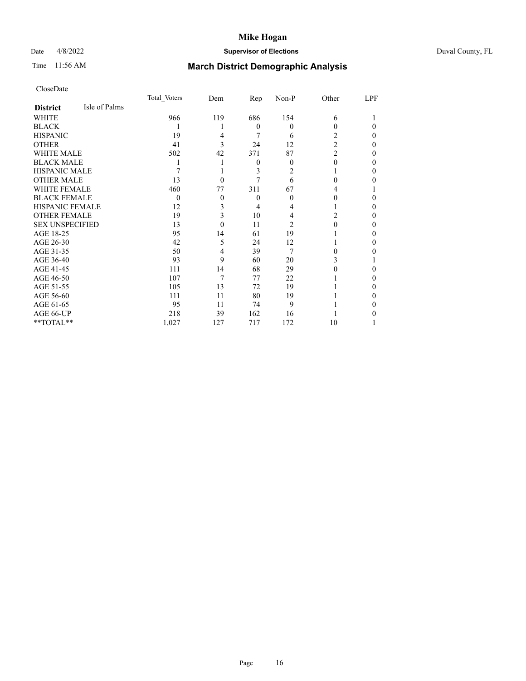## Date 4/8/2022 **Supervisor of Elections** Duval County, FL

# Time 11:56 AM **March District Demographic Analysis**

|                        |               | Total Voters | Dem      | Rep              | Non-P    | Other          | LPF      |
|------------------------|---------------|--------------|----------|------------------|----------|----------------|----------|
| <b>District</b>        | Isle of Palms |              |          |                  |          |                |          |
| WHITE                  |               | 966          | 119      | 686              | 154      | 6              |          |
| <b>BLACK</b>           |               |              |          | $\theta$         | $\theta$ | 0              | $\Omega$ |
| <b>HISPANIC</b>        |               | 19           | 4        | 7                | 6        | 2              | $\Omega$ |
| <b>OTHER</b>           |               | 41           | 3        | 24               | 12       | $\overline{2}$ | 0        |
| <b>WHITE MALE</b>      |               | 502          | 42       | 371              | 87       | $\overline{c}$ | 0        |
| <b>BLACK MALE</b>      |               |              |          | $\boldsymbol{0}$ | $\Omega$ | 0              | 0        |
| <b>HISPANIC MALE</b>   |               |              |          | 3                | 2        |                | 0        |
| <b>OTHER MALE</b>      |               | 13           | $\Omega$ | 7                | 6        | 0              | 0        |
| <b>WHITE FEMALE</b>    |               | 460          | 77       | 311              | 67       | 4              |          |
| <b>BLACK FEMALE</b>    |               | $\Omega$     | $\theta$ | $\theta$         | 0        | 0              | 0        |
| <b>HISPANIC FEMALE</b> |               | 12           | 3        | 4                |          |                | 0        |
| <b>OTHER FEMALE</b>    |               | 19           | 3        | 10               | 4        | 2              | 0        |
| <b>SEX UNSPECIFIED</b> |               | 13           | $\Omega$ | 11               | 2        | 0              | 0        |
| AGE 18-25              |               | 95           | 14       | 61               | 19       |                | 0        |
| AGE 26-30              |               | 42           | 5        | 24               | 12       |                | 0        |
| AGE 31-35              |               | 50           | 4        | 39               | 7        | 0              | 0        |
| AGE 36-40              |               | 93           | 9        | 60               | 20       | 3              |          |
| AGE 41-45              |               | 111          | 14       | 68               | 29       |                | 0        |
| AGE 46-50              |               | 107          |          | 77               | 22       |                | 0        |
| AGE 51-55              |               | 105          | 13       | 72               | 19       |                | 0        |
| AGE 56-60              |               | 111          | 11       | 80               | 19       |                | 0        |
| AGE 61-65              |               | 95           | 11       | 74               | 9        |                | 0        |
| AGE 66-UP              |               | 218          | 39       | 162              | 16       |                | 0        |
| **TOTAL**              |               | 1,027        | 127      | 717              | 172      | 10             |          |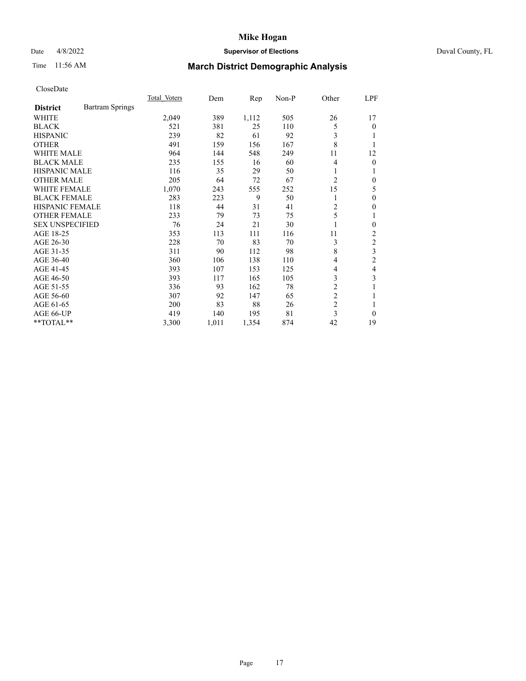## Date 4/8/2022 **Supervisor of Elections** Duval County, FL

# Time 11:56 AM **March District Demographic Analysis**

|                        |                        | Total Voters | Dem   | Rep   | $Non-P$ | Other          | LPF            |
|------------------------|------------------------|--------------|-------|-------|---------|----------------|----------------|
| <b>District</b>        | <b>Bartram Springs</b> |              |       |       |         |                |                |
| WHITE                  |                        | 2,049        | 389   | 1,112 | 505     | 26             | 17             |
| <b>BLACK</b>           |                        | 521          | 381   | 25    | 110     | 5              | 0              |
| <b>HISPANIC</b>        |                        | 239          | 82    | 61    | 92      | 3              |                |
| <b>OTHER</b>           |                        | 491          | 159   | 156   | 167     | 8              |                |
| <b>WHITE MALE</b>      |                        | 964          | 144   | 548   | 249     | 11             | 12             |
| <b>BLACK MALE</b>      |                        | 235          | 155   | 16    | 60      | 4              | 0              |
| <b>HISPANIC MALE</b>   |                        | 116          | 35    | 29    | 50      | 1              |                |
| <b>OTHER MALE</b>      |                        | 205          | 64    | 72    | 67      | $\overline{2}$ | 0              |
| WHITE FEMALE           |                        | 1,070        | 243   | 555   | 252     | 15             | 5              |
| <b>BLACK FEMALE</b>    |                        | 283          | 223   | 9     | 50      | 1              | 0              |
| <b>HISPANIC FEMALE</b> |                        | 118          | 44    | 31    | 41      | 2              | 0              |
| <b>OTHER FEMALE</b>    |                        | 233          | 79    | 73    | 75      | 5              | 1              |
| <b>SEX UNSPECIFIED</b> |                        | 76           | 24    | 21    | 30      | 1              | 0              |
| AGE 18-25              |                        | 353          | 113   | 111   | 116     | 11             | 2              |
| AGE 26-30              |                        | 228          | 70    | 83    | 70      | 3              | $\overline{c}$ |
| AGE 31-35              |                        | 311          | 90    | 112   | 98      | 8              | 3              |
| AGE 36-40              |                        | 360          | 106   | 138   | 110     | 4              | $\overline{2}$ |
| AGE 41-45              |                        | 393          | 107   | 153   | 125     | 4              | 4              |
| AGE 46-50              |                        | 393          | 117   | 165   | 105     | 3              | 3              |
| AGE 51-55              |                        | 336          | 93    | 162   | 78      | 2              |                |
| AGE 56-60              |                        | 307          | 92    | 147   | 65      | $\overline{c}$ | 1              |
| AGE 61-65              |                        | 200          | 83    | 88    | 26      | $\overline{c}$ |                |
| AGE 66-UP              |                        | 419          | 140   | 195   | 81      | 3              | $\theta$       |
| **TOTAL**              |                        | 3,300        | 1,011 | 1,354 | 874     | 42             | 19             |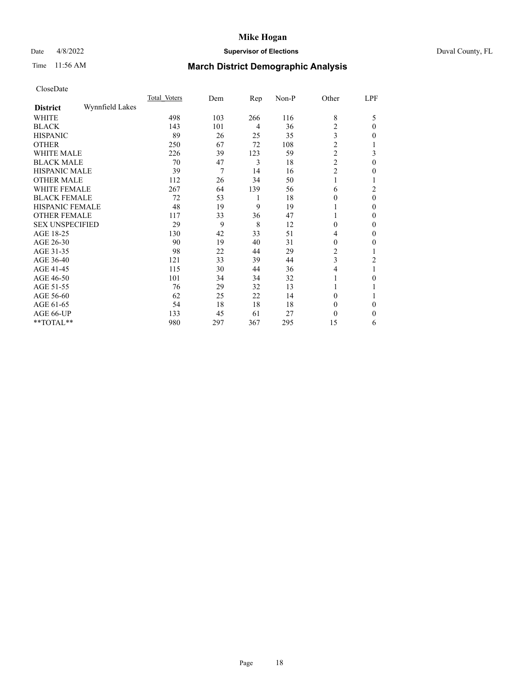## Date 4/8/2022 **Supervisor of Elections** Duval County, FL

# Time 11:56 AM **March District Demographic Analysis**

|                        |                 | Total Voters | Dem | Rep | Non-P | Other          | LPF      |
|------------------------|-----------------|--------------|-----|-----|-------|----------------|----------|
| <b>District</b>        | Wynnfield Lakes |              |     |     |       |                |          |
| WHITE                  |                 | 498          | 103 | 266 | 116   | 8              | 5        |
| <b>BLACK</b>           |                 | 143          | 101 | 4   | 36    | $\overline{2}$ | $\Omega$ |
| <b>HISPANIC</b>        |                 | 89           | 26  | 25  | 35    | 3              | $\Omega$ |
| <b>OTHER</b>           |                 | 250          | 67  | 72  | 108   | $\overline{c}$ |          |
| WHITE MALE             |                 | 226          | 39  | 123 | 59    | $\overline{c}$ | 3        |
| <b>BLACK MALE</b>      |                 | 70           | 47  | 3   | 18    | $\overline{c}$ | $\theta$ |
| <b>HISPANIC MALE</b>   |                 | 39           | 7   | 14  | 16    | $\overline{c}$ | 0        |
| <b>OTHER MALE</b>      |                 | 112          | 26  | 34  | 50    | 1              |          |
| WHITE FEMALE           |                 | 267          | 64  | 139 | 56    | 6              | 2        |
| <b>BLACK FEMALE</b>    |                 | 72           | 53  | 1   | 18    | $\Omega$       | $\theta$ |
| <b>HISPANIC FEMALE</b> |                 | 48           | 19  | 9   | 19    |                | $\Omega$ |
| <b>OTHER FEMALE</b>    |                 | 117          | 33  | 36  | 47    |                | 0        |
| <b>SEX UNSPECIFIED</b> |                 | 29           | 9   | 8   | 12    | $\theta$       | $\Omega$ |
| AGE 18-25              |                 | 130          | 42  | 33  | 51    | 4              | $\theta$ |
| AGE 26-30              |                 | 90           | 19  | 40  | 31    | $\theta$       | $\Omega$ |
| AGE 31-35              |                 | 98           | 22  | 44  | 29    | 2              |          |
| AGE 36-40              |                 | 121          | 33  | 39  | 44    | 3              | 2        |
| AGE 41-45              |                 | 115          | 30  | 44  | 36    | 4              |          |
| AGE 46-50              |                 | 101          | 34  | 34  | 32    |                | 0        |
| AGE 51-55              |                 | 76           | 29  | 32  | 13    |                |          |
| AGE 56-60              |                 | 62           | 25  | 22  | 14    | 0              |          |
| AGE 61-65              |                 | 54           | 18  | 18  | 18    | $\theta$       | $\Omega$ |
| AGE 66-UP              |                 | 133          | 45  | 61  | 27    | 0              | $\theta$ |
| **TOTAL**              |                 | 980          | 297 | 367 | 295   | 15             | 6        |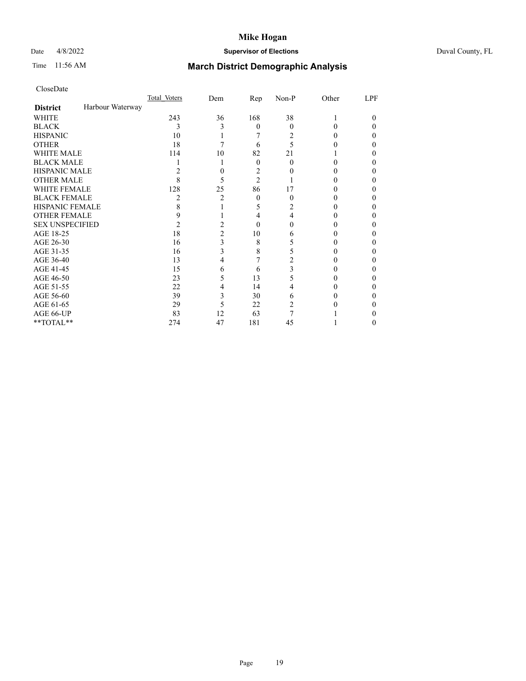## Date 4/8/2022 **Supervisor of Elections** Duval County, FL

# Time 11:56 AM **March District Demographic Analysis**

|                        |                  | Total Voters | Dem | Rep            | Non-P    | Other | LPF |
|------------------------|------------------|--------------|-----|----------------|----------|-------|-----|
| <b>District</b>        | Harbour Waterway |              |     |                |          |       |     |
| <b>WHITE</b>           |                  | 243          | 36  | 168            | 38       |       | 0   |
| <b>BLACK</b>           |                  | 3            | 3   | $\theta$       | $\Omega$ | 0     | 0   |
| <b>HISPANIC</b>        |                  | 10           |     |                | 2        | 0     | 0   |
| <b>OTHER</b>           |                  | 18           |     | 6              | 5        |       |     |
| WHITE MALE             |                  | 114          | 10  | 82             | 21       |       |     |
| <b>BLACK MALE</b>      |                  |              |     | $\theta$       | 0        | 0     |     |
| <b>HISPANIC MALE</b>   |                  | 2            |     | 2              |          |       |     |
| <b>OTHER MALE</b>      |                  | 8            | 5   | $\overline{2}$ |          |       | 0   |
| <b>WHITE FEMALE</b>    |                  | 128          | 25  | 86             | 17       |       |     |
| <b>BLACK FEMALE</b>    |                  | 2            | 2   | $\theta$       | 0        | 0     | 0   |
| <b>HISPANIC FEMALE</b> |                  | 8            |     | 5              | 2        |       |     |
| <b>OTHER FEMALE</b>    |                  | 9            |     | 4              | 4        |       |     |
| <b>SEX UNSPECIFIED</b> |                  | 2            |     | $\Omega$       | 0        |       |     |
| AGE 18-25              |                  | 18           | 2   | 10             | 6        |       |     |
| AGE 26-30              |                  | 16           | 3   | 8              | 5        |       | 0   |
| AGE 31-35              |                  | 16           | 3   | 8              |          |       |     |
| AGE 36-40              |                  | 13           | 4   |                |          |       | 0   |
| AGE 41-45              |                  | 15           | 6   | 6              | 3        |       |     |
| AGE 46-50              |                  | 23           | 5   | 13             | 5        |       |     |
| AGE 51-55              |                  | 22           | 4   | 14             |          |       |     |
| AGE 56-60              |                  | 39           | 3   | 30             | 6        |       |     |
| AGE 61-65              |                  | 29           | 5   | 22             | 2        |       |     |
| AGE 66-UP              |                  | 83           | 12  | 63             |          |       |     |
| **TOTAL**              |                  | 274          | 47  | 181            | 45       |       | 0   |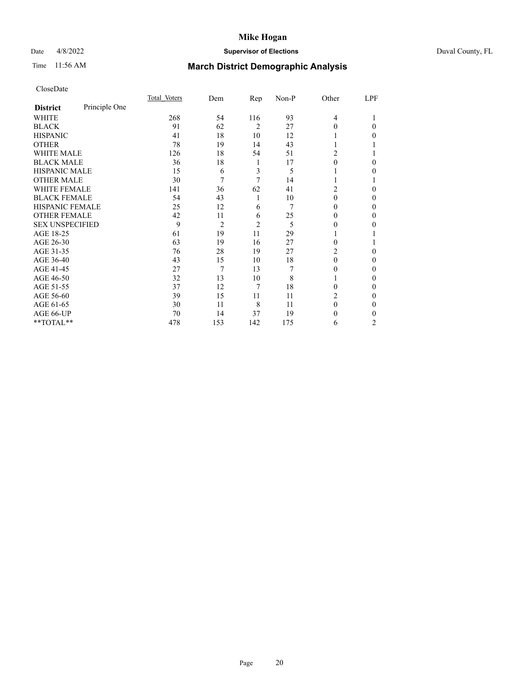## Date 4/8/2022 **Supervisor of Elections** Duval County, FL

# Time 11:56 AM **March District Demographic Analysis**

|                        |               | Total Voters | Dem            | Rep            | Non-P | Other          | LPF            |
|------------------------|---------------|--------------|----------------|----------------|-------|----------------|----------------|
| <b>District</b>        | Principle One |              |                |                |       |                |                |
| WHITE                  |               | 268          | 54             | 116            | 93    | $\overline{4}$ |                |
| <b>BLACK</b>           |               | 91           | 62             | $\overline{2}$ | 27    | $\Omega$       | 0              |
| <b>HISPANIC</b>        |               | 41           | 18             | 10             | 12    |                | 0              |
| <b>OTHER</b>           |               | 78           | 19             | 14             | 43    |                |                |
| WHITE MALE             |               | 126          | 18             | 54             | 51    | 2              |                |
| <b>BLACK MALE</b>      |               | 36           | 18             | 1              | 17    | $\theta$       | 0              |
| <b>HISPANIC MALE</b>   |               | 15           | 6              | 3              | 5     |                | 0              |
| <b>OTHER MALE</b>      |               | 30           | 7              | 7              | 14    | 1              |                |
| WHITE FEMALE           |               | 141          | 36             | 62             | 41    | 2              | 0              |
| <b>BLACK FEMALE</b>    |               | 54           | 43             | 1              | 10    | $\theta$       | 0              |
| <b>HISPANIC FEMALE</b> |               | 25           | 12             | 6              | 7     | 0              | 0              |
| <b>OTHER FEMALE</b>    |               | 42           | 11             | 6              | 25    | $\Omega$       | 0              |
| <b>SEX UNSPECIFIED</b> |               | 9            | $\overline{2}$ | $\overline{2}$ | 5     | 0              | 0              |
| AGE 18-25              |               | 61           | 19             | 11             | 29    |                |                |
| AGE 26-30              |               | 63           | 19             | 16             | 27    | $\Omega$       |                |
| AGE 31-35              |               | 76           | 28             | 19             | 27    | 2              | 0              |
| AGE 36-40              |               | 43           | 15             | 10             | 18    | $\theta$       | 0              |
| AGE 41-45              |               | 27           | 7              | 13             | 7     | $\theta$       | 0              |
| AGE 46-50              |               | 32           | 13             | 10             | 8     | 1              | 0              |
| AGE 51-55              |               | 37           | 12             | 7              | 18    | 0              | 0              |
| AGE 56-60              |               | 39           | 15             | 11             | 11    | 2              | 0              |
| AGE 61-65              |               | 30           | 11             | 8              | 11    | $\Omega$       | 0              |
| AGE 66-UP              |               | 70           | 14             | 37             | 19    | $\theta$       | 0              |
| **TOTAL**              |               | 478          | 153            | 142            | 175   | 6              | $\overline{c}$ |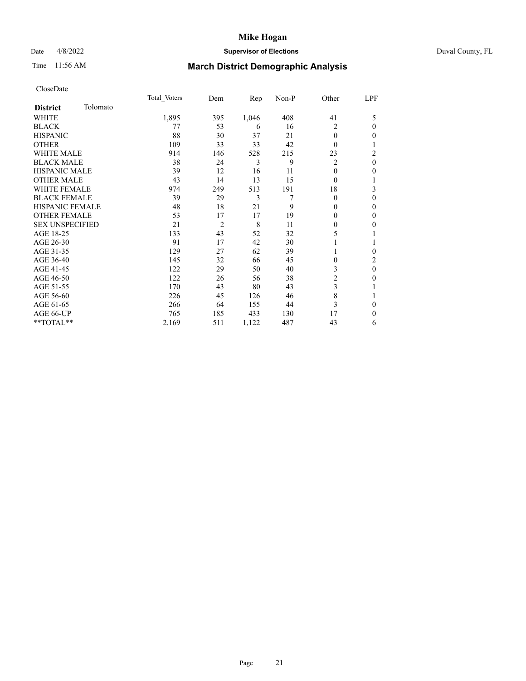## Date 4/8/2022 **Supervisor of Elections** Duval County, FL

# Time 11:56 AM **March District Demographic Analysis**

|                        |          | Total Voters | Dem            | $\mathbf{Rep}$ | Non-P | Other    | LPF          |
|------------------------|----------|--------------|----------------|----------------|-------|----------|--------------|
| <b>District</b>        | Tolomato |              |                |                |       |          |              |
| WHITE                  |          | 1,895        | 395            | 1,046          | 408   | 41       | 5            |
| <b>BLACK</b>           |          | 77           | 53             | 6              | 16    | 2        | $\mathbf{0}$ |
| <b>HISPANIC</b>        |          | 88           | 30             | 37             | 21    | $\theta$ | $\mathbf{0}$ |
| <b>OTHER</b>           |          | 109          | 33             | 33             | 42    | $\theta$ | 1            |
| <b>WHITE MALE</b>      |          | 914          | 146            | 528            | 215   | 23       | 2            |
| <b>BLACK MALE</b>      |          | 38           | 24             | 3              | 9     | 2        | $\theta$     |
| <b>HISPANIC MALE</b>   |          | 39           | 12             | 16             | 11    | 0        | 0            |
| <b>OTHER MALE</b>      |          | 43           | 14             | 13             | 15    | $\theta$ | 1            |
| WHITE FEMALE           |          | 974          | 249            | 513            | 191   | 18       | 3            |
| <b>BLACK FEMALE</b>    |          | 39           | 29             | 3              | 7     | $\theta$ | $\theta$     |
| <b>HISPANIC FEMALE</b> |          | 48           | 18             | 21             | 9     | 0        | $\Omega$     |
| <b>OTHER FEMALE</b>    |          | 53           | 17             | 17             | 19    | 0        | $\theta$     |
| <b>SEX UNSPECIFIED</b> |          | 21           | $\overline{2}$ | 8              | 11    | 0        | 0            |
| AGE 18-25              |          | 133          | 43             | 52             | 32    | 5        |              |
| AGE 26-30              |          | 91           | 17             | 42             | 30    |          | 1            |
| AGE 31-35              |          | 129          | 27             | 62             | 39    |          | 0            |
| AGE 36-40              |          | 145          | 32             | 66             | 45    | 0        | 2            |
| AGE 41-45              |          | 122          | 29             | 50             | 40    | 3        | $\theta$     |
| AGE 46-50              |          | 122          | 26             | 56             | 38    | 2        | $\theta$     |
| AGE 51-55              |          | 170          | 43             | 80             | 43    | 3        | 1            |
| AGE 56-60              |          | 226          | 45             | 126            | 46    | 8        |              |
| AGE 61-65              |          | 266          | 64             | 155            | 44    | 3        | $\theta$     |
| AGE 66-UP              |          | 765          | 185            | 433            | 130   | 17       | $\Omega$     |
| **TOTAL**              |          | 2,169        | 511            | 1,122          | 487   | 43       | 6            |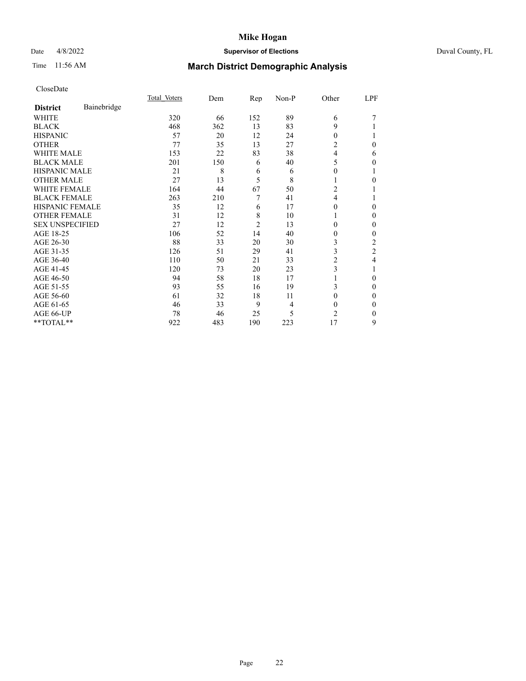## Date 4/8/2022 **Supervisor of Elections** Duval County, FL

# Time 11:56 AM **March District Demographic Analysis**

|                        |             | Total Voters | Dem | Rep            | Non-P | Other          | LPF      |
|------------------------|-------------|--------------|-----|----------------|-------|----------------|----------|
| <b>District</b>        | Bainebridge |              |     |                |       |                |          |
| WHITE                  |             | 320          | 66  | 152            | 89    | 6              |          |
| <b>BLACK</b>           |             | 468          | 362 | 13             | 83    | 9              |          |
| <b>HISPANIC</b>        |             | 57           | 20  | 12             | 24    | $\Omega$       |          |
| <b>OTHER</b>           |             | 77           | 35  | 13             | 27    | 2              | 0        |
| WHITE MALE             |             | 153          | 22  | 83             | 38    | 4              | 6        |
| <b>BLACK MALE</b>      |             | 201          | 150 | 6              | 40    | 5              | 0        |
| <b>HISPANIC MALE</b>   |             | 21           | 8   | 6              | 6     | 0              |          |
| <b>OTHER MALE</b>      |             | 27           | 13  | 5              | 8     | 1              | 0        |
| WHITE FEMALE           |             | 164          | 44  | 67             | 50    | 2              |          |
| <b>BLACK FEMALE</b>    |             | 263          | 210 | 7              | 41    | $\overline{4}$ |          |
| <b>HISPANIC FEMALE</b> |             | 35           | 12  | 6              | 17    | 0              | 0        |
| <b>OTHER FEMALE</b>    |             | 31           | 12  | 8              | 10    | 1              | 0        |
| <b>SEX UNSPECIFIED</b> |             | 27           | 12  | $\overline{c}$ | 13    | 0              | 0        |
| AGE 18-25              |             | 106          | 52  | 14             | 40    | 0              | 0        |
| AGE 26-30              |             | 88           | 33  | 20             | 30    | 3              | 2        |
| AGE 31-35              |             | 126          | 51  | 29             | 41    | 3              | 2        |
| AGE 36-40              |             | 110          | 50  | 21             | 33    | 2              | 4        |
| AGE 41-45              |             | 120          | 73  | 20             | 23    | 3              |          |
| AGE 46-50              |             | 94           | 58  | 18             | 17    |                | $\Omega$ |
| AGE 51-55              |             | 93           | 55  | 16             | 19    | 3              | 0        |
| AGE 56-60              |             | 61           | 32  | 18             | 11    | 0              | 0        |
| AGE 61-65              |             | 46           | 33  | 9              | 4     | $\theta$       | 0        |
| AGE 66-UP              |             | 78           | 46  | 25             | 5     | 2              | 0        |
| $*$ TOTAL $**$         |             | 922          | 483 | 190            | 223   | 17             | 9        |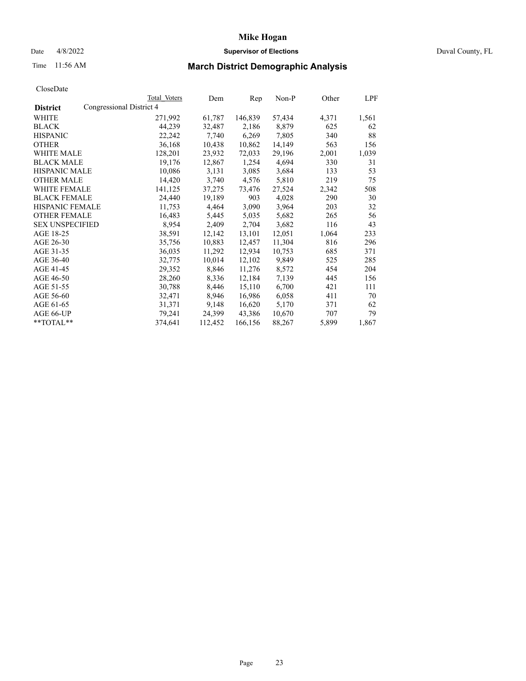## Date 4/8/2022 **Supervisor of Elections** Duval County, FL

# Time 11:56 AM **March District Demographic Analysis**

|                        |                          | Total Voters | Dem     | Rep     | $Non-P$ | Other | LPF   |
|------------------------|--------------------------|--------------|---------|---------|---------|-------|-------|
| <b>District</b>        | Congressional District 4 |              |         |         |         |       |       |
| WHITE                  |                          | 271,992      | 61,787  | 146,839 | 57,434  | 4,371 | 1,561 |
| <b>BLACK</b>           |                          | 44.239       | 32,487  | 2,186   | 8,879   | 625   | 62    |
| <b>HISPANIC</b>        |                          | 22,242       | 7,740   | 6,269   | 7.805   | 340   | 88    |
| <b>OTHER</b>           |                          | 36,168       | 10,438  | 10,862  | 14,149  | 563   | 156   |
| WHITE MALE             |                          | 128,201      | 23,932  | 72,033  | 29,196  | 2,001 | 1,039 |
| <b>BLACK MALE</b>      |                          | 19,176       | 12,867  | 1,254   | 4,694   | 330   | 31    |
| <b>HISPANIC MALE</b>   |                          | 10,086       | 3,131   | 3,085   | 3,684   | 133   | 53    |
| <b>OTHER MALE</b>      |                          | 14,420       | 3,740   | 4,576   | 5,810   | 219   | 75    |
| <b>WHITE FEMALE</b>    |                          | 141,125      | 37,275  | 73,476  | 27,524  | 2,342 | 508   |
| <b>BLACK FEMALE</b>    |                          | 24,440       | 19,189  | 903     | 4,028   | 290   | 30    |
| HISPANIC FEMALE        |                          | 11,753       | 4,464   | 3,090   | 3,964   | 203   | 32    |
| <b>OTHER FEMALE</b>    |                          | 16,483       | 5,445   | 5,035   | 5,682   | 265   | 56    |
| <b>SEX UNSPECIFIED</b> |                          | 8,954        | 2,409   | 2,704   | 3,682   | 116   | 43    |
| AGE 18-25              |                          | 38,591       | 12,142  | 13,101  | 12,051  | 1,064 | 233   |
| AGE 26-30              |                          | 35,756       | 10,883  | 12,457  | 11,304  | 816   | 296   |
| AGE 31-35              |                          | 36,035       | 11,292  | 12,934  | 10,753  | 685   | 371   |
| AGE 36-40              |                          | 32,775       | 10,014  | 12,102  | 9,849   | 525   | 285   |
| AGE 41-45              |                          | 29,352       | 8,846   | 11,276  | 8,572   | 454   | 204   |
| AGE 46-50              |                          | 28,260       | 8,336   | 12,184  | 7,139   | 445   | 156   |
| AGE 51-55              |                          | 30,788       | 8,446   | 15,110  | 6,700   | 421   | 111   |
| AGE 56-60              |                          | 32,471       | 8,946   | 16,986  | 6,058   | 411   | 70    |
| AGE 61-65              |                          | 31,371       | 9,148   | 16,620  | 5,170   | 371   | 62    |
| AGE 66-UP              |                          | 79,241       | 24,399  | 43,386  | 10,670  | 707   | 79    |
| **TOTAL**              |                          | 374,641      | 112,452 | 166,156 | 88,267  | 5,899 | 1,867 |
|                        |                          |              |         |         |         |       |       |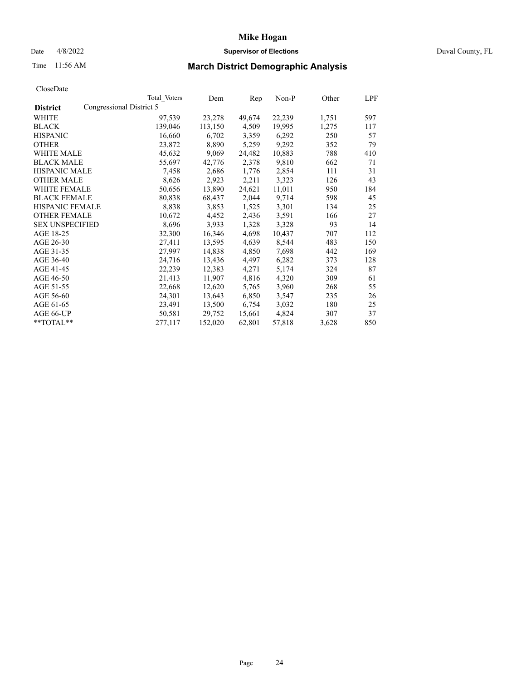## Date 4/8/2022 **Supervisor of Elections** Duval County, FL

# Time 11:56 AM **March District Demographic Analysis**

|                        |                          | Total Voters | Dem     | Rep    | Non-P  | Other | LPF |
|------------------------|--------------------------|--------------|---------|--------|--------|-------|-----|
| <b>District</b>        | Congressional District 5 |              |         |        |        |       |     |
| WHITE                  |                          | 97,539       | 23,278  | 49,674 | 22,239 | 1,751 | 597 |
| <b>BLACK</b>           |                          | 139,046      | 113,150 | 4,509  | 19,995 | 1,275 | 117 |
| <b>HISPANIC</b>        |                          | 16,660       | 6,702   | 3,359  | 6,292  | 250   | 57  |
| <b>OTHER</b>           |                          | 23,872       | 8,890   | 5,259  | 9,292  | 352   | 79  |
| WHITE MALE             |                          | 45,632       | 9,069   | 24,482 | 10,883 | 788   | 410 |
| <b>BLACK MALE</b>      |                          | 55,697       | 42,776  | 2,378  | 9,810  | 662   | 71  |
| <b>HISPANIC MALE</b>   |                          | 7,458        | 2,686   | 1,776  | 2,854  | 111   | 31  |
| <b>OTHER MALE</b>      |                          | 8,626        | 2,923   | 2,211  | 3,323  | 126   | 43  |
| <b>WHITE FEMALE</b>    |                          | 50,656       | 13,890  | 24,621 | 11,011 | 950   | 184 |
| <b>BLACK FEMALE</b>    |                          | 80,838       | 68,437  | 2,044  | 9,714  | 598   | 45  |
| <b>HISPANIC FEMALE</b> |                          | 8,838        | 3,853   | 1,525  | 3,301  | 134   | 25  |
| <b>OTHER FEMALE</b>    |                          | 10,672       | 4,452   | 2,436  | 3,591  | 166   | 27  |
| <b>SEX UNSPECIFIED</b> |                          | 8,696        | 3,933   | 1,328  | 3,328  | 93    | 14  |
| AGE 18-25              |                          | 32,300       | 16,346  | 4,698  | 10,437 | 707   | 112 |
| AGE 26-30              |                          | 27,411       | 13,595  | 4,639  | 8,544  | 483   | 150 |
| AGE 31-35              |                          | 27,997       | 14,838  | 4,850  | 7,698  | 442   | 169 |
| AGE 36-40              |                          | 24,716       | 13,436  | 4,497  | 6,282  | 373   | 128 |
| AGE 41-45              |                          | 22,239       | 12,383  | 4,271  | 5,174  | 324   | 87  |
| AGE 46-50              |                          | 21,413       | 11,907  | 4,816  | 4,320  | 309   | 61  |
| AGE 51-55              |                          | 22,668       | 12,620  | 5,765  | 3,960  | 268   | 55  |
| AGE 56-60              |                          | 24,301       | 13,643  | 6,850  | 3,547  | 235   | 26  |
| AGE 61-65              |                          | 23,491       | 13,500  | 6,754  | 3,032  | 180   | 25  |
| AGE 66-UP              |                          | 50,581       | 29,752  | 15,661 | 4,824  | 307   | 37  |
| $*$ TOTAL $*$          |                          | 277,117      | 152,020 | 62,801 | 57,818 | 3,628 | 850 |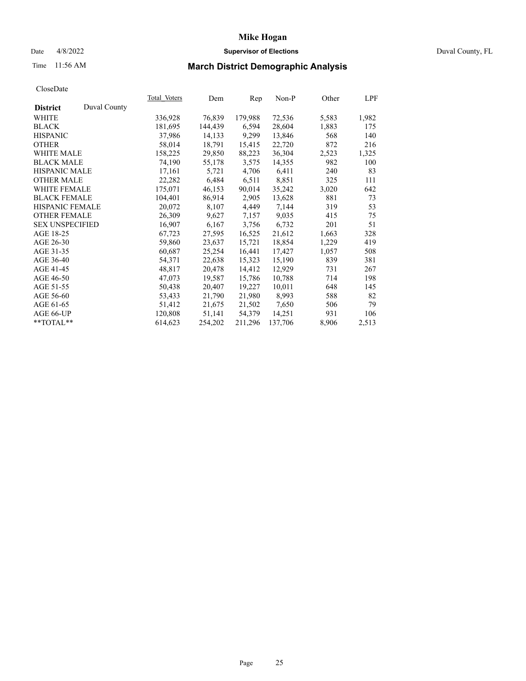## Date 4/8/2022 **Supervisor of Elections** Duval County, FL

# Time 11:56 AM **March District Demographic Analysis**

|                        |              | Total Voters | Dem     | Rep     | $Non-P$ | Other | LPF   |
|------------------------|--------------|--------------|---------|---------|---------|-------|-------|
| <b>District</b>        | Duval County |              |         |         |         |       |       |
| WHITE                  |              | 336,928      | 76,839  | 179,988 | 72,536  | 5,583 | 1,982 |
| <b>BLACK</b>           |              | 181,695      | 144,439 | 6,594   | 28,604  | 1,883 | 175   |
| <b>HISPANIC</b>        |              | 37,986       | 14,133  | 9,299   | 13,846  | 568   | 140   |
| <b>OTHER</b>           |              | 58,014       | 18,791  | 15,415  | 22,720  | 872   | 216   |
| <b>WHITE MALE</b>      |              | 158,225      | 29,850  | 88,223  | 36,304  | 2,523 | 1,325 |
| <b>BLACK MALE</b>      |              | 74,190       | 55,178  | 3,575   | 14,355  | 982   | 100   |
| <b>HISPANIC MALE</b>   |              | 17,161       | 5,721   | 4,706   | 6,411   | 240   | 83    |
| <b>OTHER MALE</b>      |              | 22,282       | 6,484   | 6,511   | 8,851   | 325   | 111   |
| <b>WHITE FEMALE</b>    |              | 175,071      | 46,153  | 90,014  | 35,242  | 3,020 | 642   |
| <b>BLACK FEMALE</b>    |              | 104,401      | 86,914  | 2,905   | 13,628  | 881   | 73    |
| HISPANIC FEMALE        |              | 20,072       | 8,107   | 4,449   | 7,144   | 319   | 53    |
| <b>OTHER FEMALE</b>    |              | 26,309       | 9,627   | 7,157   | 9,035   | 415   | 75    |
| <b>SEX UNSPECIFIED</b> |              | 16,907       | 6,167   | 3,756   | 6,732   | 201   | 51    |
| AGE 18-25              |              | 67,723       | 27,595  | 16,525  | 21,612  | 1,663 | 328   |
| AGE 26-30              |              | 59,860       | 23,637  | 15,721  | 18,854  | 1,229 | 419   |
| AGE 31-35              |              | 60,687       | 25,254  | 16,441  | 17,427  | 1,057 | 508   |
| AGE 36-40              |              | 54,371       | 22,638  | 15,323  | 15,190  | 839   | 381   |
| AGE 41-45              |              | 48,817       | 20,478  | 14,412  | 12,929  | 731   | 267   |
| AGE 46-50              |              | 47,073       | 19,587  | 15,786  | 10,788  | 714   | 198   |
| AGE 51-55              |              | 50,438       | 20,407  | 19,227  | 10,011  | 648   | 145   |
| AGE 56-60              |              | 53,433       | 21,790  | 21,980  | 8,993   | 588   | 82    |
| AGE 61-65              |              | 51,412       | 21,675  | 21,502  | 7,650   | 506   | 79    |
| AGE 66-UP              |              | 120,808      | 51,141  | 54,379  | 14,251  | 931   | 106   |
| **TOTAL**              |              | 614,623      | 254,202 | 211,296 | 137,706 | 8,906 | 2,513 |
|                        |              |              |         |         |         |       |       |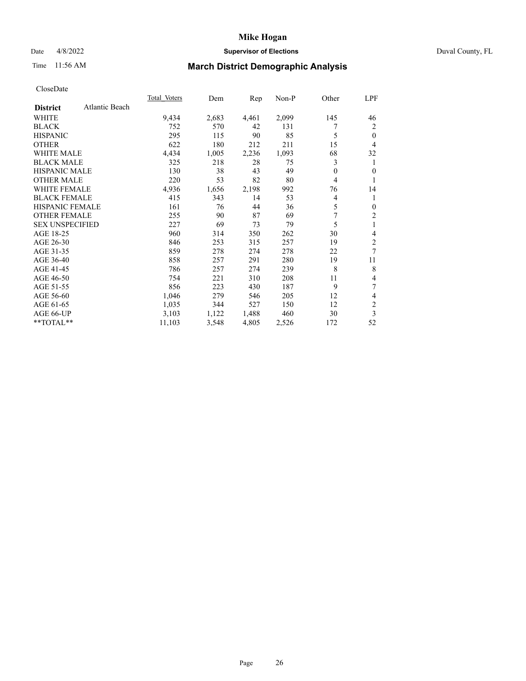## Date 4/8/2022 **Supervisor of Elections** Duval County, FL

# Time 11:56 AM **March District Demographic Analysis**

|                        |                | <b>Total Voters</b> | Dem   | Rep   | $Non-P$ | Other          | LPF            |
|------------------------|----------------|---------------------|-------|-------|---------|----------------|----------------|
| <b>District</b>        | Atlantic Beach |                     |       |       |         |                |                |
| WHITE                  |                | 9,434               | 2,683 | 4,461 | 2,099   | 145            | 46             |
| <b>BLACK</b>           |                | 752                 | 570   | 42    | 131     |                | 2              |
| <b>HISPANIC</b>        |                | 295                 | 115   | 90    | 85      | 5              | $\theta$       |
| <b>OTHER</b>           |                | 622                 | 180   | 212   | 211     | 15             | 4              |
| <b>WHITE MALE</b>      |                | 4,434               | 1,005 | 2,236 | 1,093   | 68             | 32             |
| <b>BLACK MALE</b>      |                | 325                 | 218   | 28    | 75      | 3              | 1              |
| <b>HISPANIC MALE</b>   |                | 130                 | 38    | 43    | 49      | $\theta$       | $\theta$       |
| <b>OTHER MALE</b>      |                | 220                 | 53    | 82    | 80      | $\overline{4}$ | 1              |
| <b>WHITE FEMALE</b>    |                | 4,936               | 1,656 | 2,198 | 992     | 76             | 14             |
| <b>BLACK FEMALE</b>    |                | 415                 | 343   | 14    | 53      | 4              | 1              |
| <b>HISPANIC FEMALE</b> |                | 161                 | 76    | 44    | 36      | 5              | $\mathbf{0}$   |
| <b>OTHER FEMALE</b>    |                | 255                 | 90    | 87    | 69      | 7              | $\overline{c}$ |
| <b>SEX UNSPECIFIED</b> |                | 227                 | 69    | 73    | 79      | 5              | 1              |
| AGE 18-25              |                | 960                 | 314   | 350   | 262     | 30             | 4              |
| AGE 26-30              |                | 846                 | 253   | 315   | 257     | 19             | $\overline{c}$ |
| AGE 31-35              |                | 859                 | 278   | 274   | 278     | 22             | 7              |
| AGE 36-40              |                | 858                 | 257   | 291   | 280     | 19             | 11             |
| AGE 41-45              |                | 786                 | 257   | 274   | 239     | 8              | 8              |
| AGE 46-50              |                | 754                 | 221   | 310   | 208     | 11             | 4              |
| AGE 51-55              |                | 856                 | 223   | 430   | 187     | 9              | 7              |
| AGE 56-60              |                | 1,046               | 279   | 546   | 205     | 12             | 4              |
| AGE 61-65              |                | 1,035               | 344   | 527   | 150     | 12             | $\overline{c}$ |
| AGE 66-UP              |                | 3,103               | 1,122 | 1,488 | 460     | 30             | 3              |
| $*$ $TOTAL**$          |                | 11,103              | 3,548 | 4,805 | 2,526   | 172            | 52             |
|                        |                |                     |       |       |         |                |                |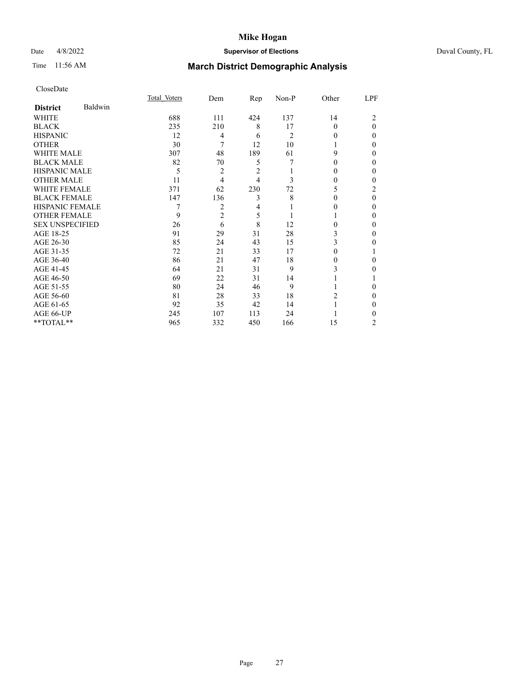## Date 4/8/2022 **Supervisor of Elections** Duval County, FL

# Time 11:56 AM **March District Demographic Analysis**

|                        |         | Total Voters | Dem            | Rep            | Non-P          | Other    | LPF      |
|------------------------|---------|--------------|----------------|----------------|----------------|----------|----------|
| <b>District</b>        | Baldwin |              |                |                |                |          |          |
| WHITE                  |         | 688          | 111            | 424            | 137            | 14       | 2        |
| <b>BLACK</b>           |         | 235          | 210            | 8              | 17             | $\Omega$ | $\theta$ |
| <b>HISPANIC</b>        |         | 12           | 4              | 6              | $\overline{c}$ | 0        | 0        |
| <b>OTHER</b>           |         | 30           | 7              | 12             | 10             |          | 0        |
| WHITE MALE             |         | 307          | 48             | 189            | 61             | 9        | 0        |
| <b>BLACK MALE</b>      |         | 82           | 70             | 5              |                | 0        | 0        |
| <b>HISPANIC MALE</b>   |         | 5            | $\overline{2}$ | $\overline{2}$ |                | $_{0}$   | 0        |
| <b>OTHER MALE</b>      |         | 11           | 4              | 4              | 3              | 0        | 0        |
| <b>WHITE FEMALE</b>    |         | 371          | 62             | 230            | 72             | 5        | 2        |
| <b>BLACK FEMALE</b>    |         | 147          | 136            | 3              | 8              | 0        | $\theta$ |
| <b>HISPANIC FEMALE</b> |         |              | 2              | 4              |                | $_{0}$   | 0        |
| <b>OTHER FEMALE</b>    |         | 9            | $\overline{2}$ | 5              |                |          | 0        |
| <b>SEX UNSPECIFIED</b> |         | 26           | 6              | 8              | 12             | 0        | 0        |
| AGE 18-25              |         | 91           | 29             | 31             | 28             | 3        | 0        |
| AGE 26-30              |         | 85           | 24             | 43             | 15             | 3        | 0        |
| AGE 31-35              |         | 72           | 21             | 33             | 17             | 0        |          |
| AGE 36-40              |         | 86           | 21             | 47             | 18             | 0        | 0        |
| AGE 41-45              |         | 64           | 21             | 31             | 9              | 3        | 0        |
| AGE 46-50              |         | 69           | 22             | 31             | 14             |          |          |
| AGE 51-55              |         | 80           | 24             | 46             | 9              |          | 0        |
| AGE 56-60              |         | 81           | 28             | 33             | 18             | 2        | 0        |
| AGE 61-65              |         | 92           | 35             | 42             | 14             |          | 0        |
| AGE 66-UP              |         | 245          | 107            | 113            | 24             |          | 0        |
| **TOTAL**              |         | 965          | 332            | 450            | 166            | 15       | 2        |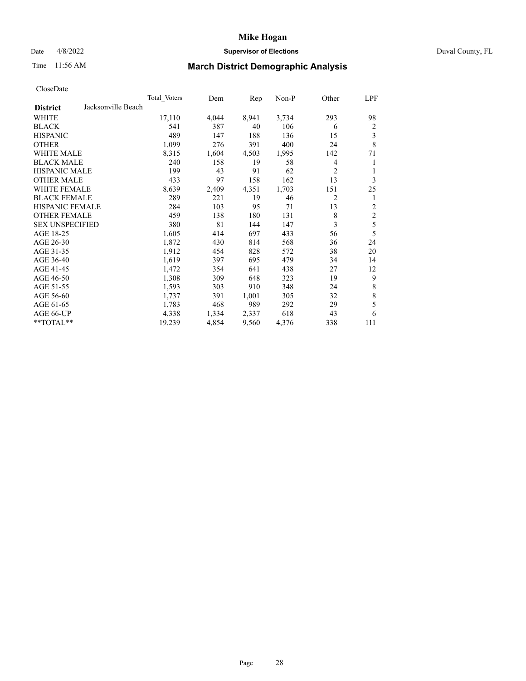## Date 4/8/2022 **Supervisor of Elections** Duval County, FL

# Time 11:56 AM **March District Demographic Analysis**

|                                       | Total Voters | Dem   | Rep   | Non-P | Other          | LPF            |
|---------------------------------------|--------------|-------|-------|-------|----------------|----------------|
| Jacksonville Beach<br><b>District</b> |              |       |       |       |                |                |
| WHITE                                 | 17,110       | 4,044 | 8,941 | 3,734 | 293            | 98             |
| <b>BLACK</b>                          | 541          | 387   | 40    | 106   | 6              | 2              |
| <b>HISPANIC</b>                       | 489          | 147   | 188   | 136   | 15             | 3              |
| <b>OTHER</b>                          | 1,099        | 276   | 391   | 400   | 24             | 8              |
| WHITE MALE                            | 8,315        | 1,604 | 4,503 | 1,995 | 142            | 71             |
| <b>BLACK MALE</b>                     | 240          | 158   | 19    | 58    | 4              | 1              |
| <b>HISPANIC MALE</b>                  | 199          | 43    | 91    | 62    | 2              | 1              |
| <b>OTHER MALE</b>                     | 433          | 97    | 158   | 162   | 13             | 3              |
| WHITE FEMALE                          | 8,639        | 2,409 | 4,351 | 1,703 | 151            | 25             |
| <b>BLACK FEMALE</b>                   | 289          | 221   | 19    | 46    | $\overline{2}$ | 1              |
| <b>HISPANIC FEMALE</b>                | 284          | 103   | 95    | 71    | 13             | $\overline{c}$ |
| <b>OTHER FEMALE</b>                   | 459          | 138   | 180   | 131   | 8              | $\overline{2}$ |
| <b>SEX UNSPECIFIED</b>                | 380          | 81    | 144   | 147   | 3              | 5              |
| AGE 18-25                             | 1,605        | 414   | 697   | 433   | 56             | 5              |
| AGE 26-30                             | 1,872        | 430   | 814   | 568   | 36             | 24             |
| AGE 31-35                             | 1,912        | 454   | 828   | 572   | 38             | 20             |
| AGE 36-40                             | 1,619        | 397   | 695   | 479   | 34             | 14             |
| AGE 41-45                             | 1,472        | 354   | 641   | 438   | 27             | 12             |
| AGE 46-50                             | 1,308        | 309   | 648   | 323   | 19             | 9              |
| AGE 51-55                             | 1,593        | 303   | 910   | 348   | 24             | 8              |
| AGE 56-60                             | 1,737        | 391   | 1,001 | 305   | 32             | $\,$ 8 $\,$    |
| AGE 61-65                             | 1,783        | 468   | 989   | 292   | 29             | 5              |
| AGE 66-UP                             | 4,338        | 1,334 | 2,337 | 618   | 43             | 6              |
| **TOTAL**                             | 19,239       | 4,854 | 9,560 | 4,376 | 338            | 111            |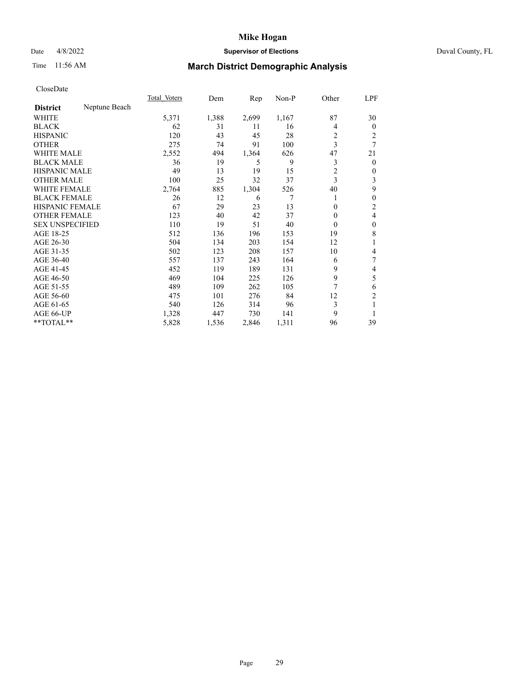## Date 4/8/2022 **Supervisor of Elections** Duval County, FL

# Time 11:56 AM **March District Demographic Analysis**

|                        |               | Total Voters | Dem   | $\mathbf{Rep}$ | Non-P | Other          | LPF            |
|------------------------|---------------|--------------|-------|----------------|-------|----------------|----------------|
| <b>District</b>        | Neptune Beach |              |       |                |       |                |                |
| WHITE                  |               | 5,371        | 1,388 | 2,699          | 1,167 | 87             | 30             |
| <b>BLACK</b>           |               | 62           | 31    | 11             | 16    | 4              | $\overline{0}$ |
| <b>HISPANIC</b>        |               | 120          | 43    | 45             | 28    | 2              | 2              |
| <b>OTHER</b>           |               | 275          | 74    | 91             | 100   | 3              | 7              |
| WHITE MALE             |               | 2,552        | 494   | 1,364          | 626   | 47             | 21             |
| <b>BLACK MALE</b>      |               | 36           | 19    | 5              | 9     | 3              | 0              |
| <b>HISPANIC MALE</b>   |               | 49           | 13    | 19             | 15    | $\overline{c}$ | 0              |
| <b>OTHER MALE</b>      |               | 100          | 25    | 32             | 37    | 3              | 3              |
| <b>WHITE FEMALE</b>    |               | 2,764        | 885   | 1,304          | 526   | 40             | 9              |
| <b>BLACK FEMALE</b>    |               | 26           | 12    | 6              |       | 1              | 0              |
| <b>HISPANIC FEMALE</b> |               | 67           | 29    | 23             | 13    | 0              | 2              |
| <b>OTHER FEMALE</b>    |               | 123          | 40    | 42             | 37    | $\Omega$       | 4              |
| <b>SEX UNSPECIFIED</b> |               | 110          | 19    | 51             | 40    | $\theta$       | 0              |
| AGE 18-25              |               | 512          | 136   | 196            | 153   | 19             | 8              |
| AGE 26-30              |               | 504          | 134   | 203            | 154   | 12             | 1              |
| AGE 31-35              |               | 502          | 123   | 208            | 157   | 10             | 4              |
| AGE 36-40              |               | 557          | 137   | 243            | 164   | 6              | 7              |
| AGE 41-45              |               | 452          | 119   | 189            | 131   | 9              | 4              |
| AGE 46-50              |               | 469          | 104   | 225            | 126   | 9              | 5              |
| AGE 51-55              |               | 489          | 109   | 262            | 105   |                | 6              |
| AGE 56-60              |               | 475          | 101   | 276            | 84    | 12             | $\overline{c}$ |
| AGE 61-65              |               | 540          | 126   | 314            | 96    | 3              |                |
| AGE 66-UP              |               | 1,328        | 447   | 730            | 141   | 9              |                |
| **TOTAL**              |               | 5,828        | 1,536 | 2,846          | 1,311 | 96             | 39             |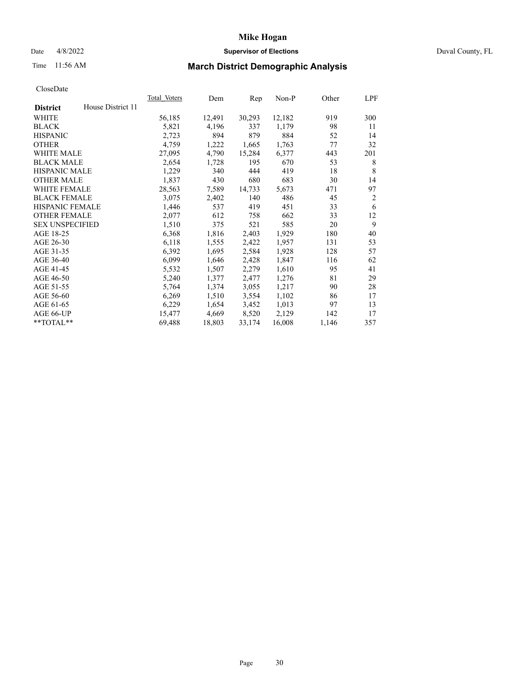## Date 4/8/2022 **Supervisor of Elections** Duval County, FL

# Time 11:56 AM **March District Demographic Analysis**

|                        |                   | Total Voters | Dem    | Rep    | Non-P  | Other | LPF            |
|------------------------|-------------------|--------------|--------|--------|--------|-------|----------------|
| <b>District</b>        | House District 11 |              |        |        |        |       |                |
| WHITE                  |                   | 56,185       | 12,491 | 30,293 | 12,182 | 919   | 300            |
| <b>BLACK</b>           |                   | 5,821        | 4,196  | 337    | 1,179  | 98    | 11             |
| <b>HISPANIC</b>        |                   | 2,723        | 894    | 879    | 884    | 52    | 14             |
| <b>OTHER</b>           |                   | 4,759        | 1,222  | 1,665  | 1,763  | 77    | 32             |
| WHITE MALE             |                   | 27,095       | 4,790  | 15,284 | 6,377  | 443   | 201            |
| <b>BLACK MALE</b>      |                   | 2,654        | 1,728  | 195    | 670    | 53    | 8              |
| <b>HISPANIC MALE</b>   |                   | 1,229        | 340    | 444    | 419    | 18    | 8              |
| <b>OTHER MALE</b>      |                   | 1,837        | 430    | 680    | 683    | 30    | 14             |
| WHITE FEMALE           |                   | 28,563       | 7,589  | 14,733 | 5,673  | 471   | 97             |
| <b>BLACK FEMALE</b>    |                   | 3,075        | 2,402  | 140    | 486    | 45    | $\overline{2}$ |
| <b>HISPANIC FEMALE</b> |                   | 1,446        | 537    | 419    | 451    | 33    | 6              |
| <b>OTHER FEMALE</b>    |                   | 2,077        | 612    | 758    | 662    | 33    | 12             |
| <b>SEX UNSPECIFIED</b> |                   | 1,510        | 375    | 521    | 585    | 20    | 9              |
| AGE 18-25              |                   | 6,368        | 1,816  | 2,403  | 1,929  | 180   | 40             |
| AGE 26-30              |                   | 6,118        | 1,555  | 2,422  | 1,957  | 131   | 53             |
| AGE 31-35              |                   | 6,392        | 1,695  | 2,584  | 1,928  | 128   | 57             |
| AGE 36-40              |                   | 6,099        | 1,646  | 2,428  | 1,847  | 116   | 62             |
| AGE 41-45              |                   | 5,532        | 1,507  | 2,279  | 1,610  | 95    | 41             |
| AGE 46-50              |                   | 5,240        | 1,377  | 2,477  | 1,276  | 81    | 29             |
| AGE 51-55              |                   | 5,764        | 1,374  | 3,055  | 1,217  | 90    | 28             |
| AGE 56-60              |                   | 6,269        | 1,510  | 3,554  | 1,102  | 86    | 17             |
| AGE 61-65              |                   | 6,229        | 1,654  | 3,452  | 1,013  | 97    | 13             |
| AGE 66-UP              |                   | 15,477       | 4,669  | 8,520  | 2,129  | 142   | 17             |
| **TOTAL**              |                   | 69,488       | 18,803 | 33,174 | 16,008 | 1,146 | 357            |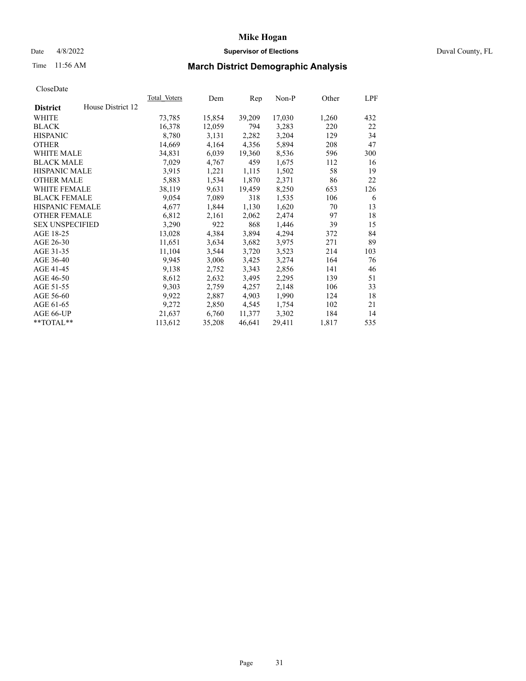## Date 4/8/2022 **Supervisor of Elections** Duval County, FL

# Time 11:56 AM **March District Demographic Analysis**

|                        |                   | Total Voters | Dem    | Rep    | Non-P  | Other | LPF |
|------------------------|-------------------|--------------|--------|--------|--------|-------|-----|
| <b>District</b>        | House District 12 |              |        |        |        |       |     |
| WHITE                  |                   | 73,785       | 15,854 | 39,209 | 17,030 | 1,260 | 432 |
| <b>BLACK</b>           |                   | 16,378       | 12,059 | 794    | 3,283  | 220   | 22  |
| <b>HISPANIC</b>        |                   | 8,780        | 3,131  | 2,282  | 3,204  | 129   | 34  |
| <b>OTHER</b>           |                   | 14,669       | 4,164  | 4,356  | 5,894  | 208   | 47  |
| WHITE MALE             |                   | 34,831       | 6,039  | 19,360 | 8,536  | 596   | 300 |
| <b>BLACK MALE</b>      |                   | 7,029        | 4,767  | 459    | 1,675  | 112   | 16  |
| <b>HISPANIC MALE</b>   |                   | 3,915        | 1,221  | 1,115  | 1,502  | 58    | 19  |
| <b>OTHER MALE</b>      |                   | 5,883        | 1,534  | 1,870  | 2,371  | 86    | 22  |
| <b>WHITE FEMALE</b>    |                   | 38,119       | 9,631  | 19,459 | 8,250  | 653   | 126 |
| <b>BLACK FEMALE</b>    |                   | 9,054        | 7,089  | 318    | 1,535  | 106   | 6   |
| <b>HISPANIC FEMALE</b> |                   | 4,677        | 1,844  | 1,130  | 1,620  | 70    | 13  |
| <b>OTHER FEMALE</b>    |                   | 6,812        | 2,161  | 2,062  | 2,474  | 97    | 18  |
| <b>SEX UNSPECIFIED</b> |                   | 3,290        | 922    | 868    | 1,446  | 39    | 15  |
| AGE 18-25              |                   | 13,028       | 4,384  | 3,894  | 4,294  | 372   | 84  |
| AGE 26-30              |                   | 11,651       | 3,634  | 3,682  | 3,975  | 271   | 89  |
| AGE 31-35              |                   | 11,104       | 3,544  | 3,720  | 3,523  | 214   | 103 |
| AGE 36-40              |                   | 9,945        | 3,006  | 3,425  | 3,274  | 164   | 76  |
| AGE 41-45              |                   | 9,138        | 2,752  | 3,343  | 2,856  | 141   | 46  |
| AGE 46-50              |                   | 8,612        | 2,632  | 3,495  | 2,295  | 139   | 51  |
| AGE 51-55              |                   | 9,303        | 2,759  | 4,257  | 2,148  | 106   | 33  |
| AGE 56-60              |                   | 9,922        | 2,887  | 4,903  | 1,990  | 124   | 18  |
| AGE 61-65              |                   | 9,272        | 2,850  | 4,545  | 1,754  | 102   | 21  |
| AGE 66-UP              |                   | 21,637       | 6,760  | 11,377 | 3,302  | 184   | 14  |
| $*$ TOTAL $*$          |                   | 113,612      | 35,208 | 46,641 | 29,411 | 1,817 | 535 |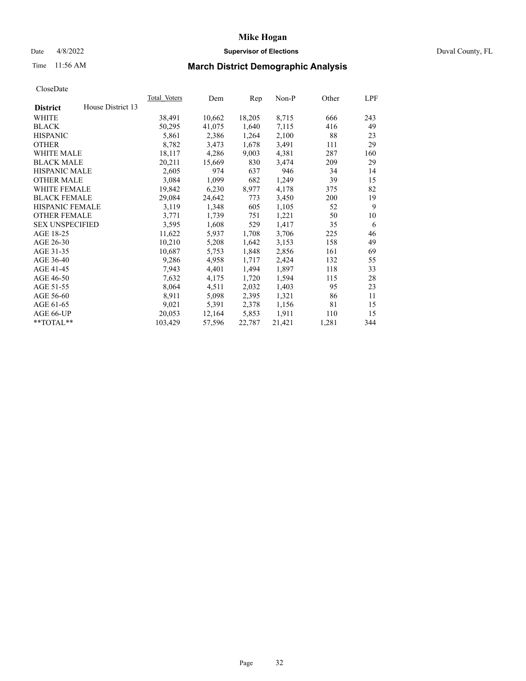## Date 4/8/2022 **Supervisor of Elections** Duval County, FL

# Time 11:56 AM **March District Demographic Analysis**

| <b>Total Voters</b> | Dem    | Rep    | $Non-P$ | Other | LPF |
|---------------------|--------|--------|---------|-------|-----|
|                     |        |        |         |       |     |
| 38,491              | 10,662 | 18,205 | 8,715   | 666   | 243 |
| 50,295              | 41,075 | 1,640  | 7,115   | 416   | 49  |
| 5,861               | 2,386  | 1,264  | 2,100   | 88    | 23  |
| 8,782               | 3,473  | 1,678  | 3,491   | 111   | 29  |
| 18,117              | 4,286  | 9,003  | 4,381   | 287   | 160 |
| 20,211              | 15,669 | 830    | 3,474   | 209   | 29  |
| 2,605               | 974    | 637    | 946     | 34    | 14  |
| 3,084               | 1,099  | 682    | 1,249   | 39    | 15  |
| 19,842              | 6,230  | 8,977  | 4,178   | 375   | 82  |
| 29,084              | 24,642 | 773    | 3,450   | 200   | 19  |
| 3,119               | 1,348  | 605    | 1,105   | 52    | 9   |
| 3,771               | 1,739  | 751    | 1,221   | 50    | 10  |
| 3,595               | 1,608  | 529    | 1,417   | 35    | 6   |
| 11,622              | 5,937  | 1,708  | 3,706   | 225   | 46  |
| 10,210              | 5,208  | 1,642  | 3,153   | 158   | 49  |
| 10,687              | 5,753  | 1,848  | 2,856   | 161   | 69  |
| 9,286               | 4,958  | 1,717  | 2,424   | 132   | 55  |
| 7,943               | 4,401  | 1,494  | 1,897   | 118   | 33  |
| 7,632               | 4,175  | 1,720  | 1,594   | 115   | 28  |
| 8,064               | 4,511  | 2,032  | 1,403   | 95    | 23  |
| 8,911               | 5,098  | 2,395  | 1,321   | 86    | 11  |
| 9,021               | 5,391  | 2,378  | 1,156   | 81    | 15  |
| 20,053              | 12,164 | 5,853  | 1,911   | 110   | 15  |
| 103,429             | 57,596 | 22,787 | 21,421  | 1,281 | 344 |
|                     |        |        |         |       |     |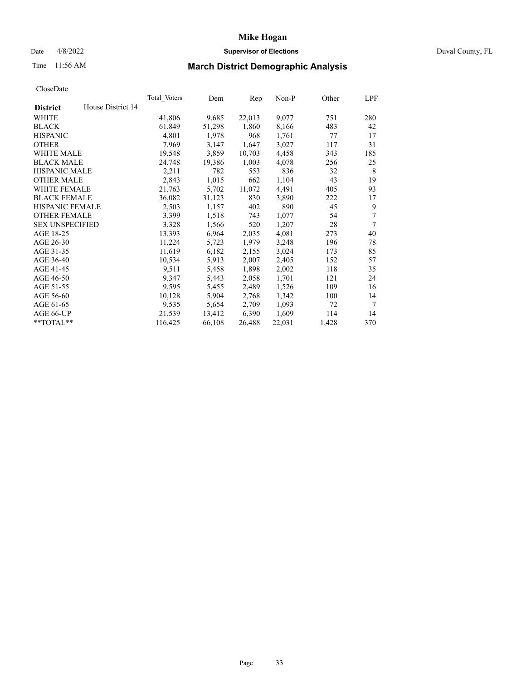## Date 4/8/2022 **Supervisor of Elections** Duval County, FL

# Time 11:56 AM **March District Demographic Analysis**

|                                      | <b>Total Voters</b> | Dem    | Rep    | $Non-P$ | Other | LPF |
|--------------------------------------|---------------------|--------|--------|---------|-------|-----|
| House District 14<br><b>District</b> |                     |        |        |         |       |     |
| WHITE                                | 41,806              | 9,685  | 22,013 | 9,077   | 751   | 280 |
| <b>BLACK</b>                         | 61,849              | 51,298 | 1,860  | 8,166   | 483   | 42  |
| <b>HISPANIC</b>                      | 4,801               | 1,978  | 968    | 1,761   | 77    | 17  |
| <b>OTHER</b>                         | 7,969               | 3,147  | 1,647  | 3,027   | 117   | 31  |
| WHITE MALE                           | 19,548              | 3,859  | 10,703 | 4,458   | 343   | 185 |
| <b>BLACK MALE</b>                    | 24,748              | 19,386 | 1,003  | 4,078   | 256   | 25  |
| <b>HISPANIC MALE</b>                 | 2,211               | 782    | 553    | 836     | 32    | 8   |
| <b>OTHER MALE</b>                    | 2,843               | 1,015  | 662    | 1,104   | 43    | 19  |
| WHITE FEMALE                         | 21,763              | 5,702  | 11,072 | 4,491   | 405   | 93  |
| <b>BLACK FEMALE</b>                  | 36,082              | 31,123 | 830    | 3,890   | 222   | 17  |
| HISPANIC FEMALE                      | 2,503               | 1,157  | 402    | 890     | 45    | 9   |
| <b>OTHER FEMALE</b>                  | 3,399               | 1,518  | 743    | 1,077   | 54    | 7   |
| <b>SEX UNSPECIFIED</b>               | 3,328               | 1,566  | 520    | 1,207   | 28    | 7   |
| AGE 18-25                            | 13,393              | 6,964  | 2,035  | 4,081   | 273   | 40  |
| AGE 26-30                            | 11,224              | 5,723  | 1,979  | 3,248   | 196   | 78  |
| AGE 31-35                            | 11,619              | 6,182  | 2,155  | 3,024   | 173   | 85  |
| AGE 36-40                            | 10,534              | 5,913  | 2,007  | 2,405   | 152   | 57  |
| AGE 41-45                            | 9,511               | 5,458  | 1,898  | 2,002   | 118   | 35  |
| AGE 46-50                            | 9,347               | 5,443  | 2,058  | 1,701   | 121   | 24  |
| AGE 51-55                            | 9,595               | 5,455  | 2,489  | 1,526   | 109   | 16  |
| AGE 56-60                            | 10,128              | 5,904  | 2,768  | 1,342   | 100   | 14  |
| AGE 61-65                            | 9,535               | 5,654  | 2,709  | 1,093   | 72    | 7   |
| AGE 66-UP                            | 21,539              | 13,412 | 6,390  | 1,609   | 114   | 14  |
| **TOTAL**                            | 116,425             | 66,108 | 26,488 | 22,031  | 1,428 | 370 |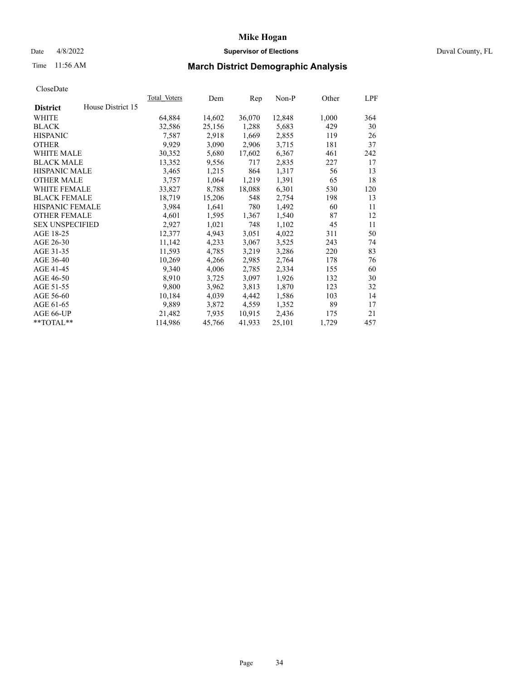## Date 4/8/2022 **Supervisor of Elections** Duval County, FL

# Time 11:56 AM **March District Demographic Analysis**

|                        |                   | Total Voters | Dem    | Rep    | $Non-P$ | Other | LPF |
|------------------------|-------------------|--------------|--------|--------|---------|-------|-----|
| <b>District</b>        | House District 15 |              |        |        |         |       |     |
| WHITE                  |                   | 64,884       | 14,602 | 36,070 | 12,848  | 1,000 | 364 |
| <b>BLACK</b>           |                   | 32,586       | 25,156 | 1,288  | 5,683   | 429   | 30  |
| <b>HISPANIC</b>        |                   | 7,587        | 2,918  | 1,669  | 2,855   | 119   | 26  |
| <b>OTHER</b>           |                   | 9,929        | 3,090  | 2,906  | 3,715   | 181   | 37  |
| WHITE MALE             |                   | 30,352       | 5,680  | 17,602 | 6,367   | 461   | 242 |
| <b>BLACK MALE</b>      |                   | 13,352       | 9,556  | 717    | 2,835   | 227   | 17  |
| <b>HISPANIC MALE</b>   |                   | 3,465        | 1,215  | 864    | 1,317   | 56    | 13  |
| <b>OTHER MALE</b>      |                   | 3,757        | 1,064  | 1,219  | 1,391   | 65    | 18  |
| <b>WHITE FEMALE</b>    |                   | 33,827       | 8,788  | 18,088 | 6,301   | 530   | 120 |
| <b>BLACK FEMALE</b>    |                   | 18,719       | 15,206 | 548    | 2,754   | 198   | 13  |
| HISPANIC FEMALE        |                   | 3,984        | 1,641  | 780    | 1,492   | 60    | 11  |
| <b>OTHER FEMALE</b>    |                   | 4,601        | 1,595  | 1,367  | 1,540   | 87    | 12  |
| <b>SEX UNSPECIFIED</b> |                   | 2,927        | 1,021  | 748    | 1,102   | 45    | 11  |
| AGE 18-25              |                   | 12,377       | 4,943  | 3,051  | 4,022   | 311   | 50  |
| AGE 26-30              |                   | 11,142       | 4,233  | 3,067  | 3,525   | 243   | 74  |
| AGE 31-35              |                   | 11,593       | 4,785  | 3,219  | 3,286   | 220   | 83  |
| AGE 36-40              |                   | 10,269       | 4,266  | 2,985  | 2,764   | 178   | 76  |
| AGE 41-45              |                   | 9,340        | 4,006  | 2,785  | 2,334   | 155   | 60  |
| AGE 46-50              |                   | 8,910        | 3,725  | 3,097  | 1,926   | 132   | 30  |
| AGE 51-55              |                   | 9,800        | 3,962  | 3,813  | 1,870   | 123   | 32  |
| AGE 56-60              |                   | 10,184       | 4,039  | 4,442  | 1,586   | 103   | 14  |
| AGE 61-65              |                   | 9,889        | 3,872  | 4,559  | 1,352   | 89    | 17  |
| AGE 66-UP              |                   | 21,482       | 7,935  | 10,915 | 2,436   | 175   | 21  |
| **TOTAL**              |                   | 114,986      | 45,766 | 41,933 | 25,101  | 1,729 | 457 |
|                        |                   |              |        |        |         |       |     |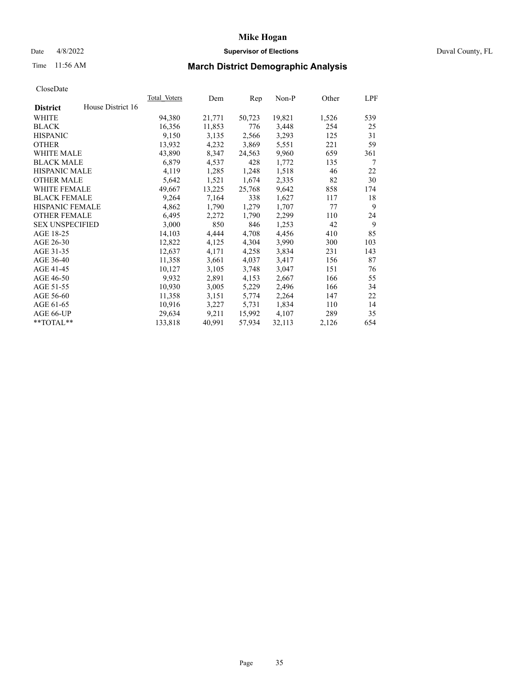## Date 4/8/2022 **Supervisor of Elections** Duval County, FL

# Time 11:56 AM **March District Demographic Analysis**

|                        |                   | Total Voters | Dem    | Rep    | <u>Non-P</u> | Other | LPF |
|------------------------|-------------------|--------------|--------|--------|--------------|-------|-----|
| <b>District</b>        | House District 16 |              |        |        |              |       |     |
| WHITE                  |                   | 94,380       | 21,771 | 50,723 | 19,821       | 1,526 | 539 |
| <b>BLACK</b>           |                   | 16,356       | 11,853 | 776    | 3,448        | 254   | 25  |
| <b>HISPANIC</b>        |                   | 9,150        | 3,135  | 2,566  | 3,293        | 125   | 31  |
| <b>OTHER</b>           |                   | 13,932       | 4,232  | 3,869  | 5,551        | 221   | 59  |
| WHITE MALE             |                   | 43,890       | 8,347  | 24,563 | 9,960        | 659   | 361 |
| <b>BLACK MALE</b>      |                   | 6,879        | 4,537  | 428    | 1,772        | 135   | 7   |
| <b>HISPANIC MALE</b>   |                   | 4,119        | 1,285  | 1,248  | 1,518        | 46    | 22  |
| <b>OTHER MALE</b>      |                   | 5,642        | 1,521  | 1,674  | 2,335        | 82    | 30  |
| <b>WHITE FEMALE</b>    |                   | 49,667       | 13,225 | 25,768 | 9,642        | 858   | 174 |
| <b>BLACK FEMALE</b>    |                   | 9,264        | 7,164  | 338    | 1,627        | 117   | 18  |
| HISPANIC FEMALE        |                   | 4,862        | 1,790  | 1,279  | 1,707        | 77    | 9   |
| <b>OTHER FEMALE</b>    |                   | 6,495        | 2,272  | 1,790  | 2,299        | 110   | 24  |
| <b>SEX UNSPECIFIED</b> |                   | 3,000        | 850    | 846    | 1,253        | 42    | 9   |
| AGE 18-25              |                   | 14,103       | 4,444  | 4,708  | 4,456        | 410   | 85  |
| AGE 26-30              |                   | 12,822       | 4,125  | 4,304  | 3,990        | 300   | 103 |
| AGE 31-35              |                   | 12,637       | 4,171  | 4,258  | 3,834        | 231   | 143 |
| AGE 36-40              |                   | 11,358       | 3,661  | 4,037  | 3,417        | 156   | 87  |
| AGE 41-45              |                   | 10,127       | 3,105  | 3,748  | 3,047        | 151   | 76  |
| AGE 46-50              |                   | 9,932        | 2,891  | 4,153  | 2,667        | 166   | 55  |
| AGE 51-55              |                   | 10,930       | 3,005  | 5,229  | 2,496        | 166   | 34  |
| AGE 56-60              |                   | 11,358       | 3,151  | 5,774  | 2,264        | 147   | 22  |
| AGE 61-65              |                   | 10,916       | 3,227  | 5,731  | 1,834        | 110   | 14  |
| AGE 66-UP              |                   | 29,634       | 9,211  | 15,992 | 4,107        | 289   | 35  |
| $*$ TOTAL $*$          |                   | 133,818      | 40,991 | 57,934 | 32,113       | 2,126 | 654 |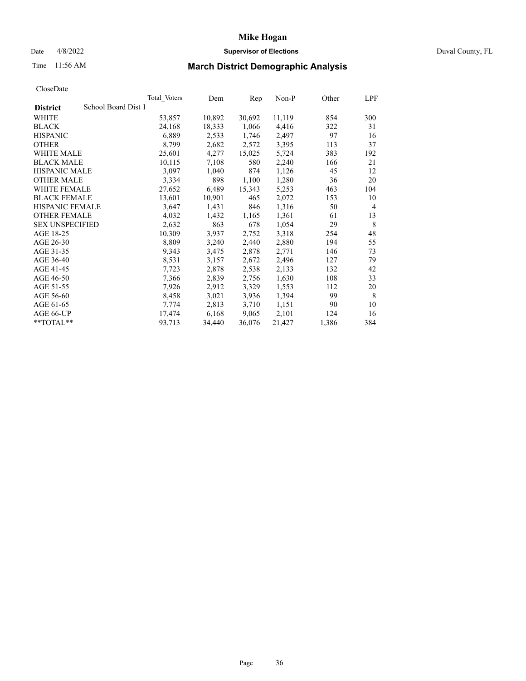#### Date 4/8/2022 **Supervisor of Elections** Duval County, FL

# Time 11:56 AM **March District Demographic Analysis**

|                                        | <b>Total Voters</b> | Dem    | Rep    | $Non-P$ | Other | LPF |
|----------------------------------------|---------------------|--------|--------|---------|-------|-----|
| School Board Dist 1<br><b>District</b> |                     |        |        |         |       |     |
| WHITE                                  | 53,857              | 10,892 | 30,692 | 11,119  | 854   | 300 |
| <b>BLACK</b>                           | 24,168              | 18,333 | 1,066  | 4,416   | 322   | 31  |
| <b>HISPANIC</b>                        | 6,889               | 2,533  | 1,746  | 2,497   | 97    | 16  |
| <b>OTHER</b>                           | 8,799               | 2,682  | 2,572  | 3,395   | 113   | 37  |
| WHITE MALE                             | 25,601              | 4,277  | 15,025 | 5,724   | 383   | 192 |
| <b>BLACK MALE</b>                      | 10,115              | 7,108  | 580    | 2,240   | 166   | 21  |
| <b>HISPANIC MALE</b>                   | 3,097               | 1,040  | 874    | 1,126   | 45    | 12  |
| <b>OTHER MALE</b>                      | 3,334               | 898    | 1,100  | 1,280   | 36    | 20  |
| WHITE FEMALE                           | 27,652              | 6,489  | 15,343 | 5,253   | 463   | 104 |
| <b>BLACK FEMALE</b>                    | 13,601              | 10,901 | 465    | 2,072   | 153   | 10  |
| HISPANIC FEMALE                        | 3,647               | 1,431  | 846    | 1,316   | 50    | 4   |
| <b>OTHER FEMALE</b>                    | 4,032               | 1,432  | 1,165  | 1,361   | 61    | 13  |
| <b>SEX UNSPECIFIED</b>                 | 2,632               | 863    | 678    | 1,054   | 29    | 8   |
| AGE 18-25                              | 10,309              | 3,937  | 2,752  | 3,318   | 254   | 48  |
| AGE 26-30                              | 8,809               | 3,240  | 2,440  | 2,880   | 194   | 55  |
| AGE 31-35                              | 9,343               | 3,475  | 2,878  | 2,771   | 146   | 73  |
| AGE 36-40                              | 8,531               | 3,157  | 2,672  | 2,496   | 127   | 79  |
| AGE 41-45                              | 7,723               | 2,878  | 2,538  | 2,133   | 132   | 42  |
| AGE 46-50                              | 7,366               | 2,839  | 2,756  | 1,630   | 108   | 33  |
| AGE 51-55                              | 7,926               | 2,912  | 3,329  | 1,553   | 112   | 20  |
| AGE 56-60                              | 8,458               | 3,021  | 3,936  | 1,394   | 99    | 8   |
| AGE 61-65                              | 7,774               | 2,813  | 3,710  | 1,151   | 90    | 10  |
| AGE 66-UP                              | 17,474              | 6,168  | 9,065  | 2,101   | 124   | 16  |
| **TOTAL**                              | 93,713              | 34,440 | 36,076 | 21,427  | 1,386 | 384 |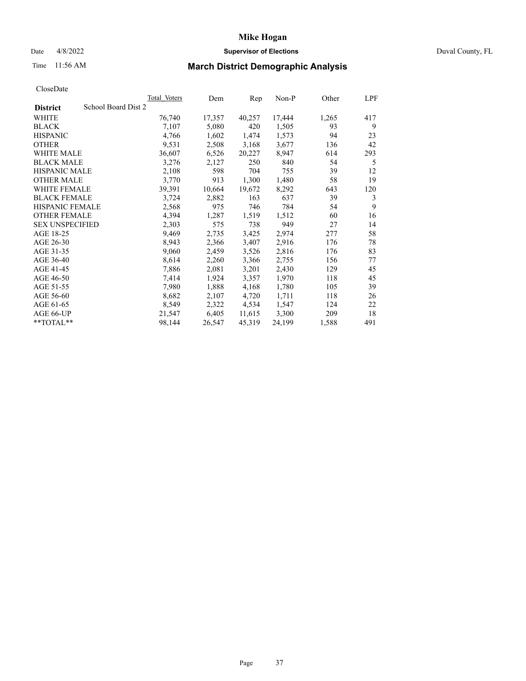#### Date 4/8/2022 **Supervisor of Elections** Duval County, FL

# Time 11:56 AM **March District Demographic Analysis**

| Total Voters | Dem                 | Rep    | Non-P  | Other | LPF |
|--------------|---------------------|--------|--------|-------|-----|
|              |                     |        |        |       |     |
| 76,740       | 17,357              | 40,257 | 17,444 | 1,265 | 417 |
| 7,107        | 5,080               | 420    | 1,505  | 93    | 9   |
| 4,766        | 1,602               | 1,474  | 1,573  | 94    | 23  |
| 9,531        | 2,508               | 3,168  | 3,677  | 136   | 42  |
| 36,607       | 6,526               | 20,227 | 8,947  | 614   | 293 |
| 3,276        | 2,127               | 250    | 840    | 54    | 5   |
| 2,108        | 598                 | 704    | 755    | 39    | 12  |
| 3,770        | 913                 | 1,300  | 1,480  | 58    | 19  |
| 39,391       | 10,664              | 19,672 | 8,292  | 643   | 120 |
| 3,724        | 2,882               | 163    | 637    | 39    | 3   |
| 2,568        | 975                 | 746    | 784    | 54    | 9   |
| 4,394        | 1,287               | 1,519  | 1,512  | 60    | 16  |
| 2,303        | 575                 | 738    | 949    | 27    | 14  |
| 9,469        | 2,735               | 3,425  | 2,974  | 277   | 58  |
| 8,943        | 2,366               | 3,407  | 2,916  | 176   | 78  |
| 9,060        | 2,459               | 3,526  | 2,816  | 176   | 83  |
| 8,614        | 2,260               | 3,366  | 2,755  | 156   | 77  |
| 7,886        | 2,081               | 3,201  | 2,430  | 129   | 45  |
| 7,414        | 1,924               | 3,357  | 1,970  | 118   | 45  |
| 7,980        | 1,888               | 4,168  | 1,780  | 105   | 39  |
| 8,682        | 2,107               | 4,720  | 1,711  | 118   | 26  |
| 8,549        | 2,322               | 4,534  | 1,547  | 124   | 22  |
| 21,547       | 6,405               | 11,615 | 3,300  | 209   | 18  |
| 98,144       | 26,547              | 45,319 | 24,199 | 1,588 | 491 |
|              | School Board Dist 2 |        |        |       |     |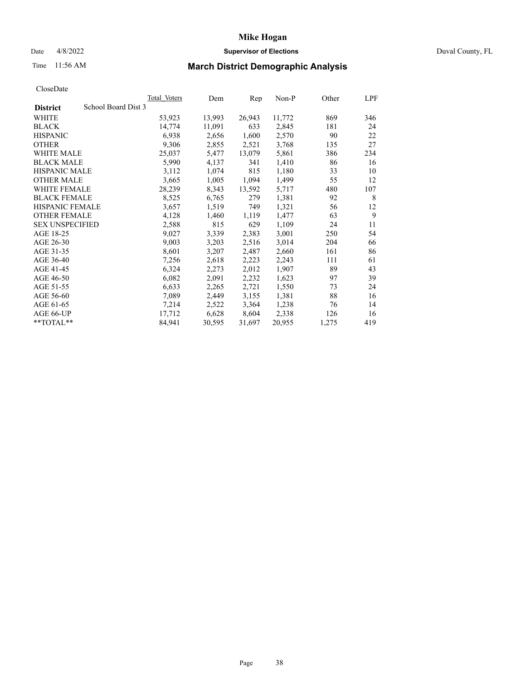#### Date 4/8/2022 **Supervisor of Elections** Duval County, FL

# Time 11:56 AM **March District Demographic Analysis**

|                                        | <b>Total Voters</b> | Dem    | Rep    | Non-P  | Other | LPF |
|----------------------------------------|---------------------|--------|--------|--------|-------|-----|
| School Board Dist 3<br><b>District</b> |                     |        |        |        |       |     |
| WHITE                                  | 53,923              | 13,993 | 26,943 | 11,772 | 869   | 346 |
| <b>BLACK</b>                           | 14.774              | 11,091 | 633    | 2,845  | 181   | 24  |
| <b>HISPANIC</b>                        | 6,938               | 2,656  | 1,600  | 2,570  | 90    | 22  |
| <b>OTHER</b>                           | 9,306               | 2,855  | 2,521  | 3,768  | 135   | 27  |
| WHITE MALE                             | 25,037              | 5,477  | 13,079 | 5,861  | 386   | 234 |
| <b>BLACK MALE</b>                      | 5,990               | 4,137  | 341    | 1,410  | 86    | 16  |
| <b>HISPANIC MALE</b>                   | 3,112               | 1,074  | 815    | 1,180  | 33    | 10  |
| <b>OTHER MALE</b>                      | 3,665               | 1,005  | 1,094  | 1,499  | 55    | 12  |
| WHITE FEMALE                           | 28,239              | 8,343  | 13,592 | 5,717  | 480   | 107 |
| <b>BLACK FEMALE</b>                    | 8,525               | 6,765  | 279    | 1,381  | 92    | 8   |
| HISPANIC FEMALE                        | 3,657               | 1,519  | 749    | 1,321  | 56    | 12  |
| <b>OTHER FEMALE</b>                    | 4,128               | 1,460  | 1,119  | 1,477  | 63    | 9   |
| <b>SEX UNSPECIFIED</b>                 | 2,588               | 815    | 629    | 1,109  | 24    | 11  |
| AGE 18-25                              | 9,027               | 3,339  | 2,383  | 3,001  | 250   | 54  |
| AGE 26-30                              | 9,003               | 3,203  | 2,516  | 3,014  | 204   | 66  |
| AGE 31-35                              | 8,601               | 3,207  | 2,487  | 2,660  | 161   | 86  |
| AGE 36-40                              | 7,256               | 2,618  | 2,223  | 2,243  | 111   | 61  |
| AGE 41-45                              | 6,324               | 2,273  | 2,012  | 1,907  | 89    | 43  |
| AGE 46-50                              | 6,082               | 2,091  | 2,232  | 1,623  | 97    | 39  |
| AGE 51-55                              | 6,633               | 2,265  | 2,721  | 1,550  | 73    | 24  |
| AGE 56-60                              | 7,089               | 2,449  | 3,155  | 1,381  | 88    | 16  |
| AGE 61-65                              | 7,214               | 2,522  | 3,364  | 1,238  | 76    | 14  |
| AGE 66-UP                              | 17,712              | 6,628  | 8,604  | 2,338  | 126   | 16  |
| **TOTAL**                              | 84,941              | 30,595 | 31,697 | 20,955 | 1,275 | 419 |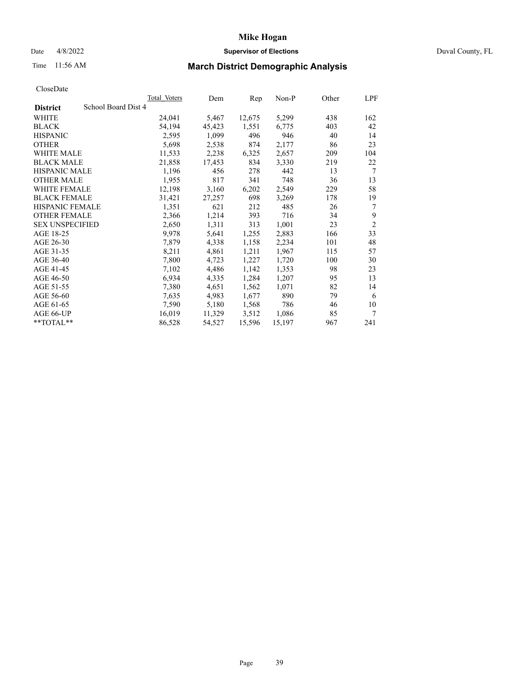## Date 4/8/2022 **Supervisor of Elections** Duval County, FL

# Time 11:56 AM **March District Demographic Analysis**

|                        |                     | <b>Total Voters</b> | Dem    | Rep    | $Non-P$ | Other | LPF            |
|------------------------|---------------------|---------------------|--------|--------|---------|-------|----------------|
| <b>District</b>        | School Board Dist 4 |                     |        |        |         |       |                |
| WHITE                  |                     | 24,041              | 5,467  | 12,675 | 5,299   | 438   | 162            |
| <b>BLACK</b>           |                     | 54,194              | 45,423 | 1,551  | 6,775   | 403   | 42             |
| <b>HISPANIC</b>        |                     | 2,595               | 1,099  | 496    | 946     | 40    | 14             |
| <b>OTHER</b>           |                     | 5,698               | 2,538  | 874    | 2,177   | 86    | 23             |
| WHITE MALE             |                     | 11,533              | 2,238  | 6,325  | 2,657   | 209   | 104            |
| <b>BLACK MALE</b>      |                     | 21,858              | 17,453 | 834    | 3,330   | 219   | 22             |
| <b>HISPANIC MALE</b>   |                     | 1,196               | 456    | 278    | 442     | 13    | 7              |
| <b>OTHER MALE</b>      |                     | 1,955               | 817    | 341    | 748     | 36    | 13             |
| WHITE FEMALE           |                     | 12,198              | 3,160  | 6,202  | 2,549   | 229   | 58             |
| <b>BLACK FEMALE</b>    |                     | 31,421              | 27,257 | 698    | 3,269   | 178   | 19             |
| HISPANIC FEMALE        |                     | 1,351               | 621    | 212    | 485     | 26    | 7              |
| <b>OTHER FEMALE</b>    |                     | 2,366               | 1,214  | 393    | 716     | 34    | 9              |
| <b>SEX UNSPECIFIED</b> |                     | 2,650               | 1,311  | 313    | 1,001   | 23    | $\overline{2}$ |
| AGE 18-25              |                     | 9,978               | 5,641  | 1,255  | 2,883   | 166   | 33             |
| AGE 26-30              |                     | 7,879               | 4,338  | 1,158  | 2,234   | 101   | 48             |
| AGE 31-35              |                     | 8,211               | 4,861  | 1,211  | 1,967   | 115   | 57             |
| AGE 36-40              |                     | 7,800               | 4,723  | 1,227  | 1,720   | 100   | 30             |
| AGE 41-45              |                     | 7,102               | 4,486  | 1,142  | 1,353   | 98    | 23             |
| AGE 46-50              |                     | 6,934               | 4,335  | 1,284  | 1,207   | 95    | 13             |
| AGE 51-55              |                     | 7,380               | 4,651  | 1,562  | 1,071   | 82    | 14             |
| AGE 56-60              |                     | 7,635               | 4,983  | 1,677  | 890     | 79    | 6              |
| AGE 61-65              |                     | 7,590               | 5,180  | 1,568  | 786     | 46    | 10             |
| AGE 66-UP              |                     | 16,019              | 11,329 | 3,512  | 1,086   | 85    | 7              |
| **TOTAL**              |                     | 86,528              | 54,527 | 15,596 | 15,197  | 967   | 241            |
|                        |                     |                     |        |        |         |       |                |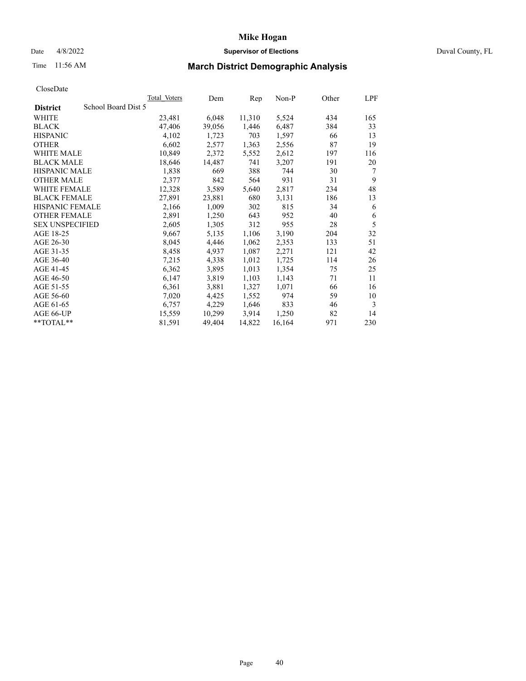## Date 4/8/2022 **Supervisor of Elections** Duval County, FL

# Time 11:56 AM **March District Demographic Analysis**

|                                        | <b>Total Voters</b> | Dem    | Rep    | $Non-P$ | Other | LPF |
|----------------------------------------|---------------------|--------|--------|---------|-------|-----|
| School Board Dist 5<br><b>District</b> |                     |        |        |         |       |     |
| WHITE                                  | 23,481              | 6,048  | 11,310 | 5,524   | 434   | 165 |
| <b>BLACK</b>                           | 47,406              | 39,056 | 1,446  | 6,487   | 384   | 33  |
| <b>HISPANIC</b>                        | 4,102               | 1,723  | 703    | 1,597   | 66    | 13  |
| <b>OTHER</b>                           | 6,602               | 2,577  | 1,363  | 2,556   | 87    | 19  |
| WHITE MALE                             | 10,849              | 2,372  | 5,552  | 2,612   | 197   | 116 |
| <b>BLACK MALE</b>                      | 18,646              | 14,487 | 741    | 3,207   | 191   | 20  |
| <b>HISPANIC MALE</b>                   | 1,838               | 669    | 388    | 744     | 30    | 7   |
| <b>OTHER MALE</b>                      | 2,377               | 842    | 564    | 931     | 31    | 9   |
| <b>WHITE FEMALE</b>                    | 12,328              | 3,589  | 5,640  | 2,817   | 234   | 48  |
| <b>BLACK FEMALE</b>                    | 27,891              | 23,881 | 680    | 3,131   | 186   | 13  |
| HISPANIC FEMALE                        | 2,166               | 1,009  | 302    | 815     | 34    | 6   |
| <b>OTHER FEMALE</b>                    | 2,891               | 1,250  | 643    | 952     | 40    | 6   |
| <b>SEX UNSPECIFIED</b>                 | 2,605               | 1,305  | 312    | 955     | 28    | 5   |
| AGE 18-25                              | 9,667               | 5,135  | 1,106  | 3,190   | 204   | 32  |
| AGE 26-30                              | 8,045               | 4,446  | 1,062  | 2,353   | 133   | 51  |
| AGE 31-35                              | 8,458               | 4,937  | 1,087  | 2,271   | 121   | 42  |
| AGE 36-40                              | 7,215               | 4,338  | 1,012  | 1,725   | 114   | 26  |
| AGE 41-45                              | 6,362               | 3,895  | 1,013  | 1,354   | 75    | 25  |
| AGE 46-50                              | 6,147               | 3,819  | 1,103  | 1,143   | 71    | 11  |
| AGE 51-55                              | 6,361               | 3,881  | 1,327  | 1,071   | 66    | 16  |
| AGE 56-60                              | 7,020               | 4,425  | 1,552  | 974     | 59    | 10  |
| AGE 61-65                              | 6,757               | 4,229  | 1,646  | 833     | 46    | 3   |
| AGE 66-UP                              | 15,559              | 10,299 | 3,914  | 1,250   | 82    | 14  |
| $*$ $TOTAL**$                          | 81,591              | 49,404 | 14,822 | 16,164  | 971   | 230 |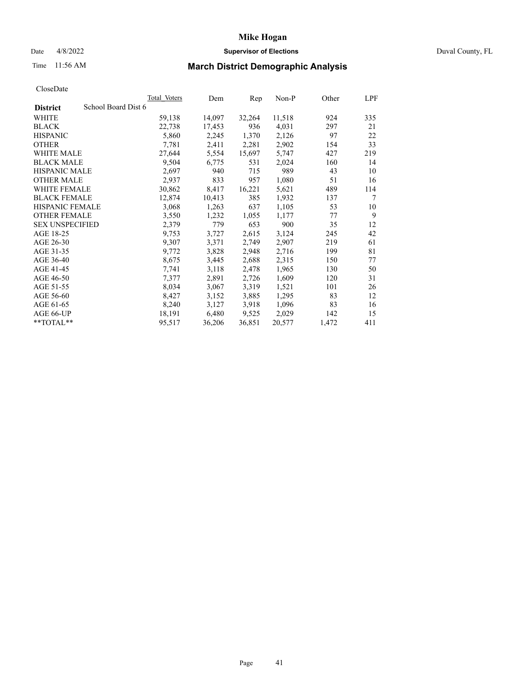## Date 4/8/2022 **Supervisor of Elections** Duval County, FL

# Time 11:56 AM **March District Demographic Analysis**

|                                        | Total Voters | Dem    | Rep    | $Non-P$ | Other | LPF    |
|----------------------------------------|--------------|--------|--------|---------|-------|--------|
| School Board Dist 6<br><b>District</b> |              |        |        |         |       |        |
| WHITE                                  | 59,138       | 14,097 | 32,264 | 11,518  | 924   | 335    |
| <b>BLACK</b>                           | 22,738       | 17,453 | 936    | 4,031   | 297   | 21     |
| <b>HISPANIC</b>                        | 5,860        | 2,245  | 1,370  | 2,126   | 97    | 22     |
| <b>OTHER</b>                           | 7,781        | 2,411  | 2,281  | 2,902   | 154   | 33     |
| WHITE MALE                             | 27,644       | 5,554  | 15,697 | 5,747   | 427   | 219    |
| <b>BLACK MALE</b>                      | 9,504        | 6,775  | 531    | 2,024   | 160   | 14     |
| <b>HISPANIC MALE</b>                   | 2,697        | 940    | 715    | 989     | 43    | 10     |
| <b>OTHER MALE</b>                      | 2,937        | 833    | 957    | 1,080   | 51    | 16     |
| WHITE FEMALE                           | 30,862       | 8,417  | 16,221 | 5,621   | 489   | 114    |
| <b>BLACK FEMALE</b>                    | 12,874       | 10,413 | 385    | 1,932   | 137   | $\tau$ |
| HISPANIC FEMALE                        | 3,068        | 1,263  | 637    | 1,105   | 53    | 10     |
| <b>OTHER FEMALE</b>                    | 3,550        | 1,232  | 1,055  | 1,177   | 77    | 9      |
| <b>SEX UNSPECIFIED</b>                 | 2,379        | 779    | 653    | 900     | 35    | 12     |
| AGE 18-25                              | 9,753        | 3,727  | 2,615  | 3,124   | 245   | 42     |
| AGE 26-30                              | 9,307        | 3,371  | 2,749  | 2,907   | 219   | 61     |
| AGE 31-35                              | 9,772        | 3,828  | 2,948  | 2,716   | 199   | 81     |
| AGE 36-40                              | 8,675        | 3,445  | 2,688  | 2,315   | 150   | 77     |
| AGE 41-45                              | 7,741        | 3,118  | 2,478  | 1,965   | 130   | 50     |
| AGE 46-50                              | 7,377        | 2,891  | 2,726  | 1,609   | 120   | 31     |
| AGE 51-55                              | 8,034        | 3,067  | 3,319  | 1,521   | 101   | 26     |
| AGE 56-60                              | 8,427        | 3,152  | 3,885  | 1,295   | 83    | 12     |
| AGE 61-65                              | 8,240        | 3,127  | 3,918  | 1,096   | 83    | 16     |
| AGE 66-UP                              | 18,191       | 6,480  | 9,525  | 2,029   | 142   | 15     |
| **TOTAL**                              | 95,517       | 36,206 | 36,851 | 20,577  | 1,472 | 411    |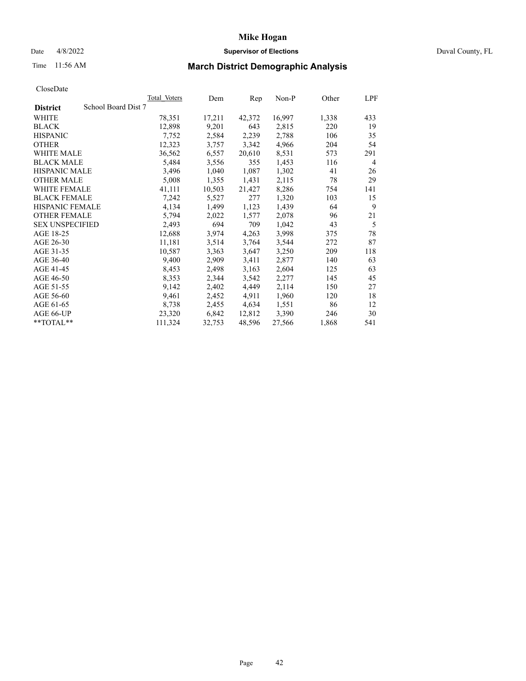## Date 4/8/2022 **Supervisor of Elections** Duval County, FL

# Time 11:56 AM **March District Demographic Analysis**

|                                        | <b>Total Voters</b> | Dem    | Rep    | $Non-P$ | Other | LPF            |
|----------------------------------------|---------------------|--------|--------|---------|-------|----------------|
| School Board Dist 7<br><b>District</b> |                     |        |        |         |       |                |
| WHITE                                  | 78,351              | 17,211 | 42,372 | 16,997  | 1,338 | 433            |
| <b>BLACK</b>                           | 12,898              | 9,201  | 643    | 2,815   | 220   | 19             |
| <b>HISPANIC</b>                        | 7,752               | 2,584  | 2,239  | 2,788   | 106   | 35             |
| <b>OTHER</b>                           | 12,323              | 3,757  | 3,342  | 4,966   | 204   | 54             |
| <b>WHITE MALE</b>                      | 36,562              | 6,557  | 20,610 | 8,531   | 573   | 291            |
| <b>BLACK MALE</b>                      | 5,484               | 3,556  | 355    | 1,453   | 116   | $\overline{4}$ |
| <b>HISPANIC MALE</b>                   | 3,496               | 1,040  | 1,087  | 1,302   | 41    | 26             |
| <b>OTHER MALE</b>                      | 5,008               | 1,355  | 1,431  | 2,115   | 78    | 29             |
| <b>WHITE FEMALE</b>                    | 41,111              | 10,503 | 21,427 | 8,286   | 754   | 141            |
| <b>BLACK FEMALE</b>                    | 7,242               | 5,527  | 277    | 1,320   | 103   | 15             |
| HISPANIC FEMALE                        | 4,134               | 1,499  | 1,123  | 1,439   | 64    | 9              |
| <b>OTHER FEMALE</b>                    | 5,794               | 2,022  | 1,577  | 2,078   | 96    | 21             |
| <b>SEX UNSPECIFIED</b>                 | 2,493               | 694    | 709    | 1.042   | 43    | 5              |
| AGE 18-25                              | 12,688              | 3,974  | 4,263  | 3,998   | 375   | 78             |
| AGE 26-30                              | 11,181              | 3,514  | 3,764  | 3,544   | 272   | 87             |
| AGE 31-35                              | 10,587              | 3,363  | 3,647  | 3,250   | 209   | 118            |
| AGE 36-40                              | 9,400               | 2,909  | 3,411  | 2,877   | 140   | 63             |
| AGE 41-45                              | 8,453               | 2,498  | 3,163  | 2,604   | 125   | 63             |
| AGE 46-50                              | 8,353               | 2,344  | 3,542  | 2,277   | 145   | 45             |
| AGE 51-55                              | 9,142               | 2,402  | 4,449  | 2,114   | 150   | 27             |
| AGE 56-60                              | 9,461               | 2,452  | 4,911  | 1,960   | 120   | 18             |
| AGE 61-65                              | 8,738               | 2,455  | 4,634  | 1,551   | 86    | 12             |
| AGE 66-UP                              | 23,320              | 6,842  | 12,812 | 3,390   | 246   | 30             |
| **TOTAL**                              | 111,324             | 32,753 | 48,596 | 27,566  | 1,868 | 541            |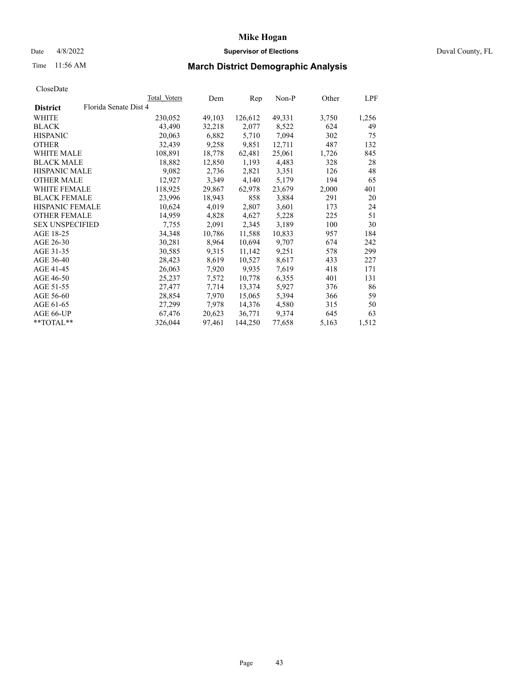#### Date 4/8/2022 **Supervisor of Elections** Duval County, FL

# Time 11:56 AM **March District Demographic Analysis**

| <b>Total Voters</b>   | Dem    |         | $Non-P$ |       | LPF   |
|-----------------------|--------|---------|---------|-------|-------|
| Florida Senate Dist 4 |        |         |         |       |       |
| 230,052               | 49,103 | 126,612 | 49,331  | 3,750 | 1,256 |
| 43,490                | 32,218 | 2,077   | 8,522   | 624   | 49    |
| 20,063                | 6,882  | 5,710   | 7,094   | 302   | 75    |
| 32,439                | 9,258  | 9,851   | 12,711  | 487   | 132   |
| 108,891               | 18,778 | 62,481  | 25,061  | 1,726 | 845   |
| 18,882                | 12,850 | 1,193   | 4,483   | 328   | 28    |
| 9,082                 | 2,736  | 2,821   | 3,351   | 126   | 48    |
| 12,927                | 3,349  | 4,140   | 5,179   | 194   | 65    |
| 118,925               | 29,867 | 62,978  | 23,679  | 2,000 | 401   |
| 23,996                | 18,943 | 858     | 3,884   | 291   | 20    |
| 10,624                | 4,019  | 2,807   | 3,601   | 173   | 24    |
| 14,959                | 4,828  | 4,627   | 5,228   | 225   | 51    |
| 7,755                 | 2,091  | 2,345   | 3,189   | 100   | 30    |
| 34,348                | 10,786 | 11,588  | 10,833  | 957   | 184   |
| 30,281                | 8,964  | 10,694  | 9,707   | 674   | 242   |
| 30,585                | 9,315  | 11,142  | 9,251   | 578   | 299   |
| 28,423                | 8,619  | 10,527  | 8,617   | 433   | 227   |
| 26,063                | 7,920  | 9,935   | 7,619   | 418   | 171   |
| 25,237                | 7,572  | 10,778  | 6,355   | 401   | 131   |
| 27,477                | 7,714  | 13,374  | 5,927   | 376   | 86    |
| 28,854                | 7,970  | 15,065  | 5,394   | 366   | 59    |
| 27,299                | 7,978  | 14,376  | 4,580   | 315   | 50    |
| 67,476                | 20,623 | 36,771  | 9,374   | 645   | 63    |
| 326,044               | 97,461 | 144,250 | 77,658  | 5,163 | 1,512 |
|                       |        |         |         | Rep   | Other |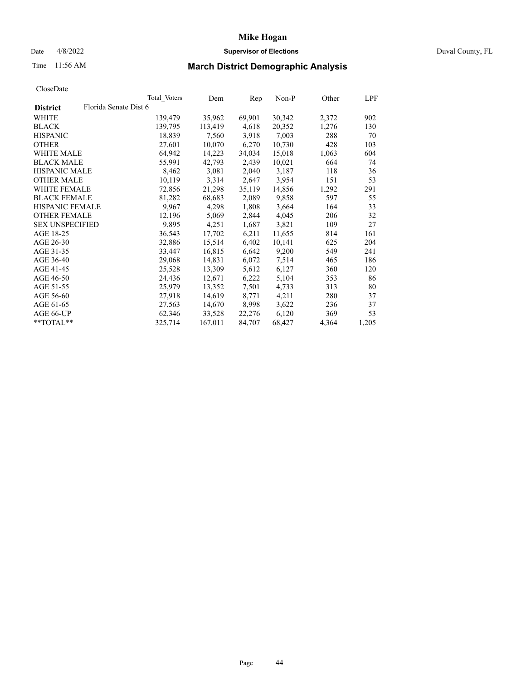## Date 4/8/2022 **Supervisor of Elections** Duval County, FL

# Time 11:56 AM **March District Demographic Analysis**

|                        |                       | Total Voters | Dem     | Rep    | $Non-P$ | Other | <b>LPF</b> |
|------------------------|-----------------------|--------------|---------|--------|---------|-------|------------|
| <b>District</b>        | Florida Senate Dist 6 |              |         |        |         |       |            |
| WHITE                  |                       | 139,479      | 35,962  | 69,901 | 30,342  | 2,372 | 902        |
| <b>BLACK</b>           |                       | 139,795      | 113,419 | 4,618  | 20,352  | 1,276 | 130        |
| <b>HISPANIC</b>        |                       | 18.839       | 7,560   | 3,918  | 7.003   | 288   | 70         |
| <b>OTHER</b>           |                       | 27,601       | 10,070  | 6,270  | 10,730  | 428   | 103        |
| WHITE MALE             |                       | 64,942       | 14,223  | 34,034 | 15,018  | 1,063 | 604        |
| <b>BLACK MALE</b>      |                       | 55,991       | 42,793  | 2,439  | 10,021  | 664   | 74         |
| <b>HISPANIC MALE</b>   |                       | 8,462        | 3,081   | 2,040  | 3,187   | 118   | 36         |
| <b>OTHER MALE</b>      |                       | 10,119       | 3,314   | 2,647  | 3,954   | 151   | 53         |
| <b>WHITE FEMALE</b>    |                       | 72,856       | 21,298  | 35,119 | 14,856  | 1,292 | 291        |
| <b>BLACK FEMALE</b>    |                       | 81,282       | 68,683  | 2,089  | 9,858   | 597   | 55         |
| HISPANIC FEMALE        |                       | 9,967        | 4,298   | 1,808  | 3,664   | 164   | 33         |
| <b>OTHER FEMALE</b>    |                       | 12,196       | 5,069   | 2,844  | 4,045   | 206   | 32         |
| <b>SEX UNSPECIFIED</b> |                       | 9,895        | 4,251   | 1,687  | 3,821   | 109   | 27         |
| AGE 18-25              |                       | 36,543       | 17,702  | 6,211  | 11,655  | 814   | 161        |
| AGE 26-30              |                       | 32,886       | 15,514  | 6,402  | 10,141  | 625   | 204        |
| AGE 31-35              |                       | 33,447       | 16,815  | 6,642  | 9,200   | 549   | 241        |
| AGE 36-40              |                       | 29,068       | 14,831  | 6,072  | 7,514   | 465   | 186        |
| AGE 41-45              |                       | 25,528       | 13,309  | 5,612  | 6,127   | 360   | 120        |
| AGE 46-50              |                       | 24,436       | 12,671  | 6,222  | 5,104   | 353   | 86         |
| AGE 51-55              |                       | 25,979       | 13,352  | 7,501  | 4,733   | 313   | 80         |
| AGE 56-60              |                       | 27,918       | 14,619  | 8,771  | 4,211   | 280   | 37         |
| AGE 61-65              |                       | 27,563       | 14,670  | 8,998  | 3,622   | 236   | 37         |
| AGE 66-UP              |                       | 62,346       | 33,528  | 22,276 | 6,120   | 369   | 53         |
| $*$ $TOTAL**$          |                       | 325,714      | 167,011 | 84,707 | 68,427  | 4,364 | 1,205      |
|                        |                       |              |         |        |         |       |            |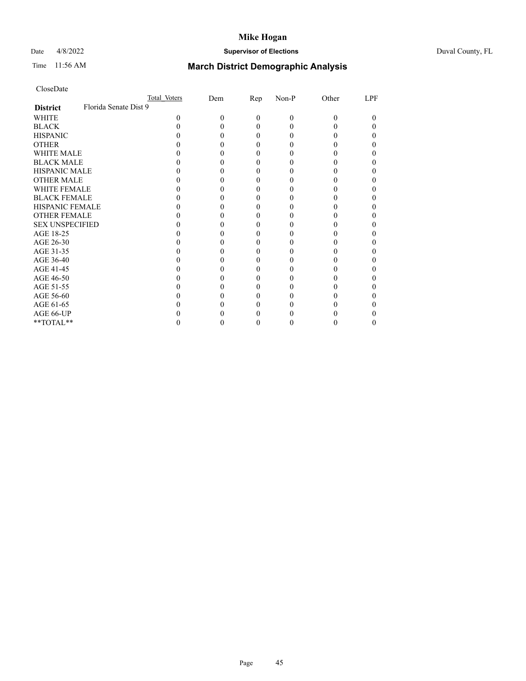## Date 4/8/2022 **Supervisor of Elections** Duval County, FL

# Time 11:56 AM **March District Demographic Analysis**

|                        | Total Voters          | Dem | $\mathbf{Rep}$ | Non-P | Other | LPF |
|------------------------|-----------------------|-----|----------------|-------|-------|-----|
| <b>District</b>        | Florida Senate Dist 9 |     |                |       |       |     |
| WHITE                  | 0                     | 0   | $\Omega$       | 0     | 0     | 0   |
| <b>BLACK</b>           |                       |     | $_{0}$         |       |       |     |
| <b>HISPANIC</b>        |                       |     | $_{0}$         |       |       |     |
| <b>OTHER</b>           |                       |     |                |       |       |     |
| WHITE MALE             |                       |     |                |       |       |     |
| <b>BLACK MALE</b>      |                       |     |                |       |       |     |
| <b>HISPANIC MALE</b>   |                       |     |                |       |       |     |
| <b>OTHER MALE</b>      |                       |     |                |       |       |     |
| <b>WHITE FEMALE</b>    |                       |     |                |       |       |     |
| <b>BLACK FEMALE</b>    |                       |     | 0              |       |       |     |
| <b>HISPANIC FEMALE</b> |                       |     |                |       |       |     |
| <b>OTHER FEMALE</b>    |                       |     |                |       |       |     |
| <b>SEX UNSPECIFIED</b> |                       |     |                |       |       |     |
| AGE 18-25              |                       |     |                |       |       |     |
| AGE 26-30              |                       |     |                |       |       |     |
| AGE 31-35              |                       |     |                |       |       |     |
| AGE 36-40              |                       |     | 0              |       |       |     |
| AGE 41-45              |                       |     |                |       |       |     |
| AGE 46-50              |                       |     |                |       |       |     |
| AGE 51-55              |                       |     |                |       |       |     |
| AGE 56-60              |                       |     |                |       |       |     |
| AGE 61-65              |                       |     |                |       |       |     |
| AGE 66-UP              |                       |     |                |       |       |     |
| **TOTAL**              |                       |     |                |       |       |     |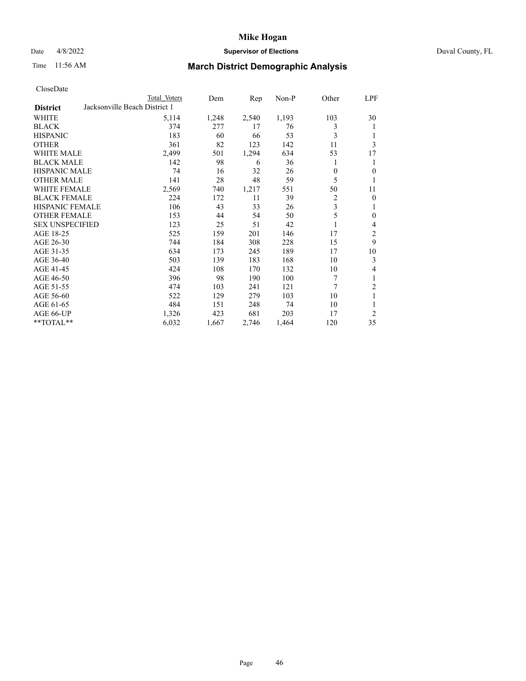## Date 4/8/2022 **Supervisor of Elections** Duval County, FL

# Time 11:56 AM **March District Demographic Analysis**

|                        |                               | Total Voters | Dem   | Rep   | $Non-P$ | Other    | <u>LPF</u>     |
|------------------------|-------------------------------|--------------|-------|-------|---------|----------|----------------|
| <b>District</b>        | Jacksonville Beach District 1 |              |       |       |         |          |                |
| WHITE                  |                               | 5,114        | 1,248 | 2,540 | 1,193   | 103      | 30             |
| <b>BLACK</b>           |                               | 374          | 277   | 17    | 76      | 3        | 1              |
| <b>HISPANIC</b>        |                               | 183          | 60    | 66    | 53      | 3        | 1              |
| <b>OTHER</b>           |                               | 361          | 82    | 123   | 142     | 11       | 3              |
| <b>WHITE MALE</b>      |                               | 2,499        | 501   | 1,294 | 634     | 53       | 17             |
| <b>BLACK MALE</b>      |                               | 142          | 98    | 6     | 36      | 1        | 1              |
| <b>HISPANIC MALE</b>   |                               | 74           | 16    | 32    | 26      | $\theta$ | $\overline{0}$ |
| <b>OTHER MALE</b>      |                               | 141          | 28    | 48    | 59      | 5        | 1              |
| WHITE FEMALE           |                               | 2,569        | 740   | 1,217 | 551     | 50       | 11             |
| <b>BLACK FEMALE</b>    |                               | 224          | 172   | 11    | 39      | 2        | $\overline{0}$ |
| <b>HISPANIC FEMALE</b> |                               | 106          | 43    | 33    | 26      | 3        | 1              |
| <b>OTHER FEMALE</b>    |                               | 153          | 44    | 54    | 50      | 5        | $\overline{0}$ |
| <b>SEX UNSPECIFIED</b> |                               | 123          | 25    | 51    | 42      |          | 4              |
| AGE 18-25              |                               | 525          | 159   | 201   | 146     | 17       | $\overline{2}$ |
| AGE 26-30              |                               | 744          | 184   | 308   | 228     | 15       | 9              |
| AGE 31-35              |                               | 634          | 173   | 245   | 189     | 17       | 10             |
| AGE 36-40              |                               | 503          | 139   | 183   | 168     | 10       | 3              |
| AGE 41-45              |                               | 424          | 108   | 170   | 132     | 10       | $\overline{4}$ |
| AGE 46-50              |                               | 396          | 98    | 190   | 100     | 7        | 1              |
| AGE 51-55              |                               | 474          | 103   | 241   | 121     | 7        | $\overline{2}$ |
| AGE 56-60              |                               | 522          | 129   | 279   | 103     | 10       | $\mathbf{1}$   |
| AGE 61-65              |                               | 484          | 151   | 248   | 74      | 10       | 1              |
| AGE 66-UP              |                               | 1,326        | 423   | 681   | 203     | 17       | $\overline{2}$ |
| **TOTAL**              |                               | 6,032        | 1,667 | 2,746 | 1,464   | 120      | 35             |
|                        |                               |              |       |       |         |          |                |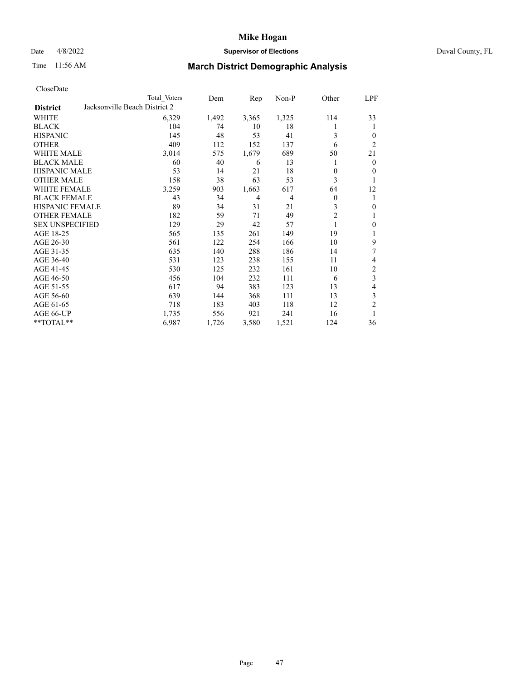## Date 4/8/2022 **Supervisor of Elections** Duval County, FL

# Time 11:56 AM **March District Demographic Analysis**

|                                                  | Total Voters | Dem   | Rep            | Non-P          | Other          | <u>LPF</u>       |
|--------------------------------------------------|--------------|-------|----------------|----------------|----------------|------------------|
| Jacksonville Beach District 2<br><b>District</b> |              |       |                |                |                |                  |
| WHITE                                            | 6,329        | 1,492 | 3,365          | 1,325          | 114            | 33               |
| <b>BLACK</b>                                     | 104          | 74    | 10             | 18             | 1              | 1                |
| <b>HISPANIC</b>                                  | 145          | 48    | 53             | 41             | 3              | $\overline{0}$   |
| <b>OTHER</b>                                     | 409          | 112   | 152            | 137            | 6              | $\overline{2}$   |
| WHITE MALE                                       | 3,014        | 575   | 1,679          | 689            | 50             | 21               |
| <b>BLACK MALE</b>                                | 60           | 40    | 6              | 13             | 1              | $\mathbf{0}$     |
| <b>HISPANIC MALE</b>                             | 53           | 14    | 21             | 18             | $\theta$       | $\overline{0}$   |
| <b>OTHER MALE</b>                                | 158          | 38    | 63             | 53             | 3              | 1                |
| <b>WHITE FEMALE</b>                              | 3,259        | 903   | 1,663          | 617            | 64             | 12               |
| <b>BLACK FEMALE</b>                              | 43           | 34    | $\overline{4}$ | $\overline{4}$ | $\mathbf{0}$   | 1                |
| <b>HISPANIC FEMALE</b>                           | 89           | 34    | 31             | 21             | 3              | $\boldsymbol{0}$ |
| <b>OTHER FEMALE</b>                              | 182          | 59    | 71             | 49             | $\overline{2}$ | 1                |
| <b>SEX UNSPECIFIED</b>                           | 129          | 29    | 42             | 57             | 1              | $\boldsymbol{0}$ |
| AGE 18-25                                        | 565          | 135   | 261            | 149            | 19             | 1                |
| AGE 26-30                                        | 561          | 122   | 254            | 166            | 10             | 9                |
| AGE 31-35                                        | 635          | 140   | 288            | 186            | 14             | 7                |
| AGE 36-40                                        | 531          | 123   | 238            | 155            | 11             | 4                |
| AGE 41-45                                        | 530          | 125   | 232            | 161            | 10             | $\sqrt{2}$       |
| AGE 46-50                                        | 456          | 104   | 232            | 111            | 6              | $\overline{3}$   |
| AGE 51-55                                        | 617          | 94    | 383            | 123            | 13             | $\overline{4}$   |
| AGE 56-60                                        | 639          | 144   | 368            | 111            | 13             | 3                |
| AGE 61-65                                        | 718          | 183   | 403            | 118            | 12             | $\overline{2}$   |
| AGE 66-UP                                        | 1,735        | 556   | 921            | 241            | 16             | 1                |
| **TOTAL**                                        | 6,987        | 1,726 | 3,580          | 1,521          | 124            | 36               |